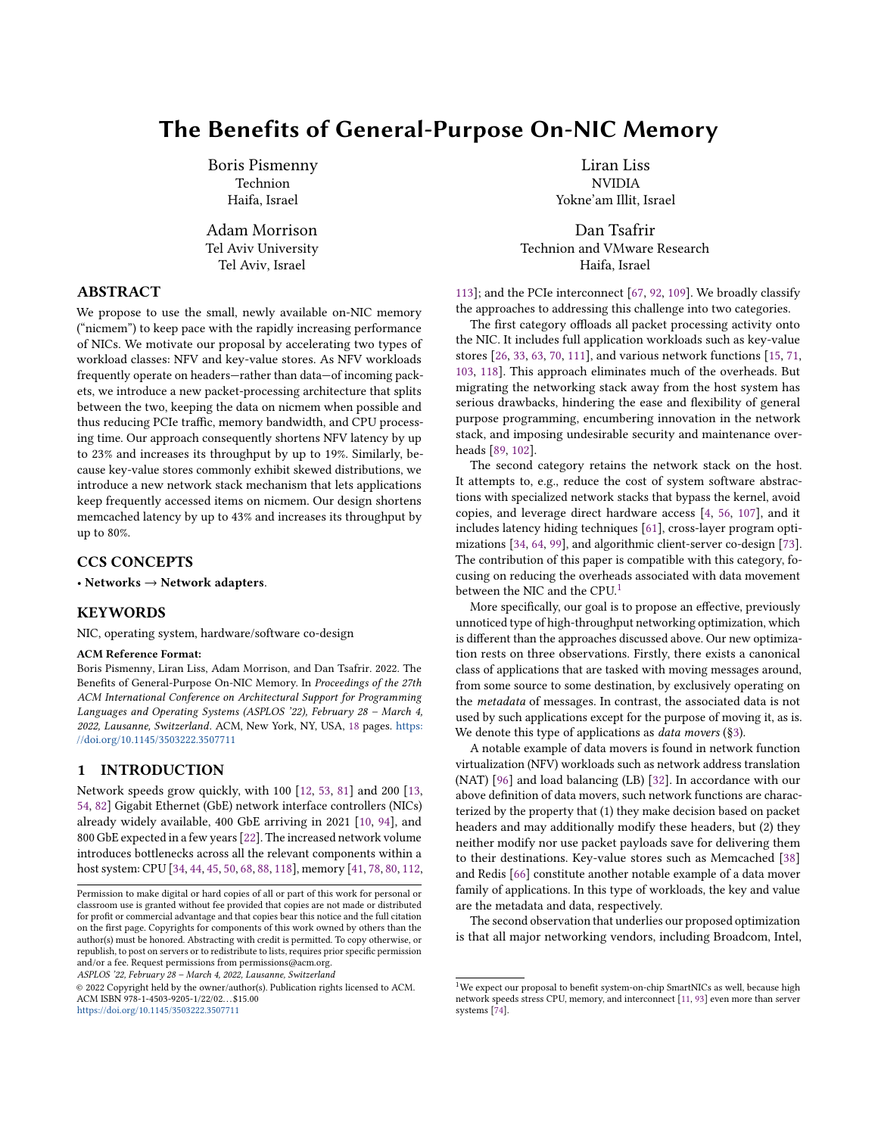# The Benefits of General-Purpose On-NIC Memory

Boris Pismenny Technion Haifa, Israel

Adam Morrison Tel Aviv University Tel Aviv, Israel

# ABSTRACT

We propose to use the small, newly available on-NIC memory ("nicmem") to keep pace with the rapidly increasing performance of NICs. We motivate our proposal by accelerating two types of workload classes: NFV and key-value stores. As NFV workloads frequently operate on headers—rather than data—of incoming packets, we introduce a new packet-processing architecture that splits between the two, keeping the data on nicmem when possible and thus reducing PCIe traffic, memory bandwidth, and CPU processing time. Our approach consequently shortens NFV latency by up to 23% and increases its throughput by up to 19%. Similarly, because key-value stores commonly exhibit skewed distributions, we introduce a new network stack mechanism that lets applications keep frequently accessed items on nicmem. Our design shortens memcached latency by up to 43% and increases its throughput by up to 80%.

# CCS CONCEPTS

• Networks  $\rightarrow$  Network adapters.

# **KEYWORDS**

NIC, operating system, hardware/software co-design

# ACM Reference Format:

Boris Pismenny, Liran Liss, Adam Morrison, and Dan Tsafrir. 2022. The Benefits of General-Purpose On-NIC Memory. In Proceedings of the 27th ACM International Conference on Architectural Support for Programming Languages and Operating Systems (ASPLOS '22), February 28 – March 4, 2022, Lausanne, Switzerland. ACM, New York, NY, USA, [18](#page-17-0) pages. [https:](https://doi.org/10.1145/3503222.3507711) [//doi.org/10.1145/3503222.3507711](https://doi.org/10.1145/3503222.3507711)

# <span id="page-0-0"></span>1 INTRODUCTION

Network speeds grow quickly, with 100 [\[12,](#page-14-0) [53,](#page-15-0) [81\]](#page-16-0) and 200 [\[13,](#page-14-1) [54,](#page-15-1) [82\]](#page-16-1) Gigabit Ethernet (GbE) network interface controllers (NICs) already widely available, 400 GbE arriving in 2021 [\[10,](#page-14-2) [94\]](#page-16-2), and 800 GbE expected in a few years [\[22\]](#page-14-3). The increased network volume introduces bottlenecks across all the relevant components within a host system: CPU [\[34,](#page-14-4) [44,](#page-15-2) [45,](#page-15-3) [50,](#page-15-4) [68,](#page-15-5) [88,](#page-16-3) [118\]](#page-17-1), memory [\[41,](#page-15-6) [78,](#page-16-4) [80,](#page-16-5) [112,](#page-16-6)

ASPLOS '22, February 28 – March 4, 2022, Lausanne, Switzerland

© 2022 Copyright held by the owner/author(s). Publication rights licensed to ACM. ACM ISBN 978-1-4503-9205-1/22/02. . . \$15.00 <https://doi.org/10.1145/3503222.3507711>

Liran Liss NVIDIA Yokne'am Illit, Israel

Dan Tsafrir Technion and VMware Research Haifa, Israel

[113\]](#page-16-7); and the PCIe interconnect [\[67,](#page-15-7) [92,](#page-16-8) [109\]](#page-16-9). We broadly classify the approaches to addressing this challenge into two categories.

The first category offloads all packet processing activity onto the NIC. It includes full application workloads such as key-value stores [\[26,](#page-14-5) [33,](#page-14-6) [63,](#page-15-8) [70,](#page-15-9) [111\]](#page-16-10), and various network functions [\[15,](#page-14-7) [71,](#page-15-10) [103,](#page-16-11) [118\]](#page-17-1). This approach eliminates much of the overheads. But migrating the networking stack away from the host system has serious drawbacks, hindering the ease and flexibility of general purpose programming, encumbering innovation in the network stack, and imposing undesirable security and maintenance overheads [\[89,](#page-16-12) [102\]](#page-16-13).

The second category retains the network stack on the host. It attempts to, e.g., reduce the cost of system software abstractions with specialized network stacks that bypass the kernel, avoid copies, and leverage direct hardware access [\[4,](#page-14-8) [56,](#page-15-11) [107\]](#page-16-14), and it includes latency hiding techniques [\[61\]](#page-15-12), cross-layer program optimizations [\[34,](#page-14-4) [64,](#page-15-13) [99\]](#page-16-15), and algorithmic client-server co-design [\[73\]](#page-15-14). The contribution of this paper is compatible with this category, focusing on reducing the overheads associated with data movement between the NIC and the CPU.<sup>1</sup>

More specifically, our goal is to propose an effective, previously unnoticed type of high-throughput networking optimization, which is different than the approaches discussed above. Our new optimization rests on three observations. Firstly, there exists a canonical class of applications that are tasked with moving messages around, from some source to some destination, by exclusively operating on the metadata of messages. In contrast, the associated data is not used by such applications except for the purpose of moving it, as is. We denote this type of applications as *data movers* (§[3\)](#page-2-0).

A notable example of data movers is found in network function virtualization (NFV) workloads such as network address translation (NAT) [\[96\]](#page-16-16) and load balancing (LB) [\[32\]](#page-14-9). In accordance with our above definition of data movers, such network functions are characterized by the property that (1) they make decision based on packet headers and may additionally modify these headers, but (2) they neither modify nor use packet payloads save for delivering them to their destinations. Key-value stores such as Memcached [\[38\]](#page-15-15) and Redis [\[66\]](#page-15-16) constitute another notable example of a data mover family of applications. In this type of workloads, the key and value are the metadata and data, respectively.

The second observation that underlies our proposed optimization is that all major networking vendors, including Broadcom, Intel,

Permission to make digital or hard copies of all or part of this work for personal or classroom use is granted without fee provided that copies are not made or distributed for profit or commercial advantage and that copies bear this notice and the full citation on the first page. Copyrights for components of this work owned by others than the author(s) must be honored. Abstracting with credit is permitted. To copy otherwise, or republish, to post on servers or to redistribute to lists, requires prior specific permission and/or a fee. Request permissions from permissions@acm.org.

<sup>&</sup>lt;sup>1</sup>We expect our proposal to benefit system-on-chip SmartNICs as well, because high network speeds stress CPU, memory, and interconnect [\[11,](#page-14-10) [93\]](#page-16-17) even more than server systems [\[74\]](#page-15-17).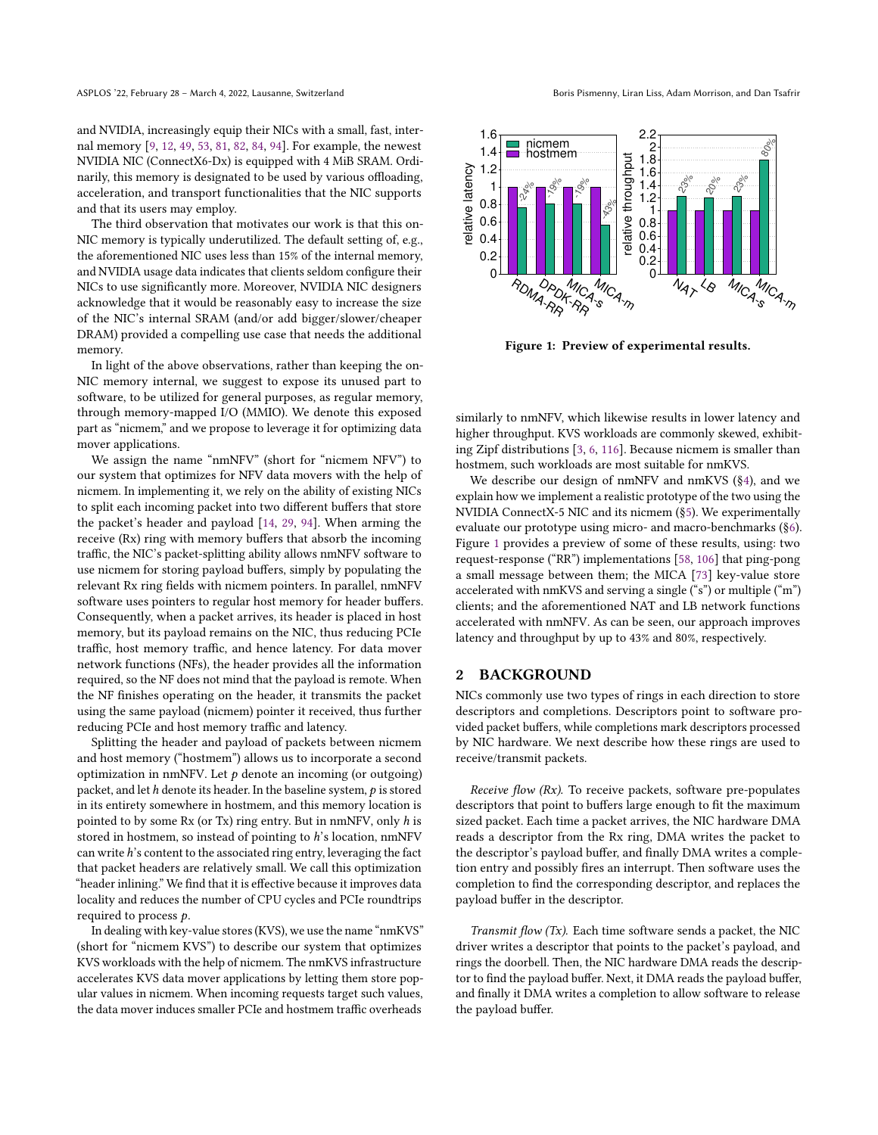and NVIDIA, increasingly equip their NICs with a small, fast, internal memory [\[9,](#page-14-11) [12,](#page-14-0) [49,](#page-15-18) [53,](#page-15-0) [81,](#page-16-0) [82,](#page-16-1) [84,](#page-16-18) [94\]](#page-16-2). For example, the newest NVIDIA NIC (ConnectX6-Dx) is equipped with 4 MiB SRAM. Ordinarily, this memory is designated to be used by various offloading, acceleration, and transport functionalities that the NIC supports and that its users may employ.

The third observation that motivates our work is that this on-NIC memory is typically underutilized. The default setting of, e.g., the aforementioned NIC uses less than 15% of the internal memory, and NVIDIA usage data indicates that clients seldom configure their NICs to use significantly more. Moreover, NVIDIA NIC designers acknowledge that it would be reasonably easy to increase the size of the NIC's internal SRAM (and/or add bigger/slower/cheaper DRAM) provided a compelling use case that needs the additional memory.

In light of the above observations, rather than keeping the on-NIC memory internal, we suggest to expose its unused part to software, to be utilized for general purposes, as regular memory, through memory-mapped I/O (MMIO). We denote this exposed part as "nicmem," and we propose to leverage it for optimizing data mover applications.

We assign the name "nmNFV" (short for "nicmem NFV") to our system that optimizes for NFV data movers with the help of nicmem. In implementing it, we rely on the ability of existing NICs to split each incoming packet into two different buffers that store the packet's header and payload [\[14,](#page-14-12) [29,](#page-14-13) [94\]](#page-16-2). When arming the receive (Rx) ring with memory buffers that absorb the incoming traffic, the NIC's packet-splitting ability allows nmNFV software to use nicmem for storing payload buffers, simply by populating the relevant Rx ring fields with nicmem pointers. In parallel, nmNFV software uses pointers to regular host memory for header buffers. Consequently, when a packet arrives, its header is placed in host memory, but its payload remains on the NIC, thus reducing PCIe traffic, host memory traffic, and hence latency. For data mover network functions (NFs), the header provides all the information required, so the NF does not mind that the payload is remote. When the NF finishes operating on the header, it transmits the packet using the same payload (nicmem) pointer it received, thus further reducing PCIe and host memory traffic and latency.

Splitting the header and payload of packets between nicmem and host memory ("hostmem") allows us to incorporate a second optimization in nmNFV. Let  $p$  denote an incoming (or outgoing) packet, and let  $h$  denote its header. In the baseline system,  $p$  is stored in its entirety somewhere in hostmem, and this memory location is pointed to by some Rx (or Tx) ring entry. But in nmNFV, only h is stored in hostmem, so instead of pointing to h's location, nmNFV can write h's content to the associated ring entry, leveraging the fact that packet headers are relatively small. We call this optimization "header inlining." We find that it is effective because it improves data locality and reduces the number of CPU cycles and PCIe roundtrips required to process  $p$ .

In dealing with key-value stores (KVS), we use the name "nmKVS" (short for "nicmem KVS") to describe our system that optimizes KVS workloads with the help of nicmem. The nmKVS infrastructure accelerates KVS data mover applications by letting them store popular values in nicmem. When incoming requests target such values, the data mover induces smaller PCIe and hostmem traffic overheads

<span id="page-1-0"></span>

Figure 1: Preview of experimental results.

similarly to nmNFV, which likewise results in lower latency and higher throughput. KVS workloads are commonly skewed, exhibiting Zipf distributions [\[3,](#page-14-14) [6,](#page-14-15) [116\]](#page-17-2). Because nicmem is smaller than hostmem, such workloads are most suitable for nmKVS.

We describe our design of nmNFV and nmKVS (§[4\)](#page-4-0), and we explain how we implement a realistic prototype of the two using the NVIDIA ConnectX-5 NIC and its nicmem (§[5\)](#page-6-0). We experimentally evaluate our prototype using micro- and macro-benchmarks (§[6\)](#page-7-0). Figure [1](#page-1-0) provides a preview of some of these results, using: two request-response ("RR") implementations [\[58,](#page-15-19) [106\]](#page-16-19) that ping-pong a small message between them; the MICA [\[73\]](#page-15-14) key-value store accelerated with nmKVS and serving a single ("s") or multiple ("m") clients; and the aforementioned NAT and LB network functions accelerated with nmNFV. As can be seen, our approach improves latency and throughput by up to 43% and 80%, respectively.

## <span id="page-1-1"></span>2 BACKGROUND

NICs commonly use two types of rings in each direction to store descriptors and completions. Descriptors point to software provided packet buffers, while completions mark descriptors processed by NIC hardware. We next describe how these rings are used to receive/transmit packets.

*Receive flow (Rx)*. To receive packets, software pre-populates descriptors that point to buffers large enough to fit the maximum sized packet. Each time a packet arrives, the NIC hardware DMA reads a descriptor from the Rx ring, DMA writes the packet to the descriptor's payload buffer, and finally DMA writes a completion entry and possibly fires an interrupt. Then software uses the completion to find the corresponding descriptor, and replaces the payload buffer in the descriptor.

Transmit flow (Tx). Each time software sends a packet, the NIC driver writes a descriptor that points to the packet's payload, and rings the doorbell. Then, the NIC hardware DMA reads the descriptor to find the payload buffer. Next, it DMA reads the payload buffer, and finally it DMA writes a completion to allow software to release the payload buffer.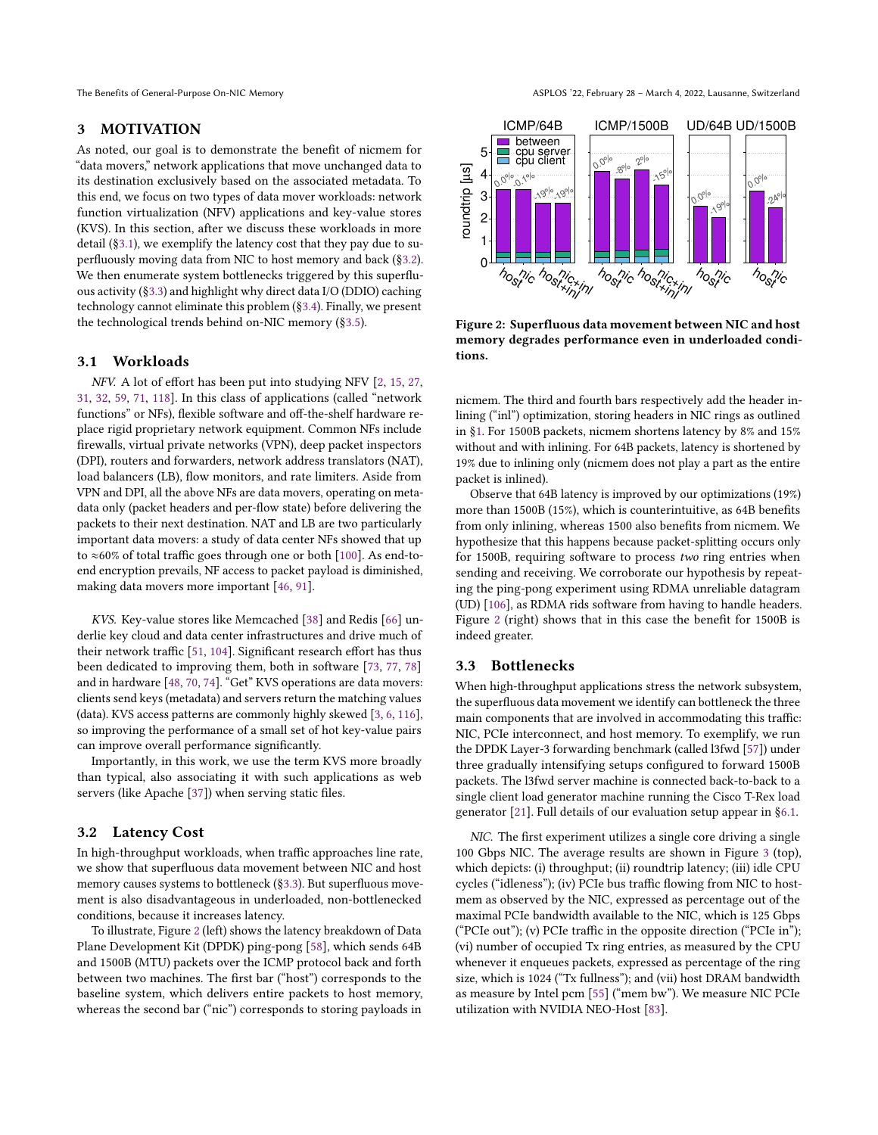## <span id="page-2-0"></span>3 MOTIVATION

As noted, our goal is to demonstrate the benefit of nicmem for "data movers," network applications that move unchanged data to its destination exclusively based on the associated metadata. To this end, we focus on two types of data mover workloads: network function virtualization (NFV) applications and key-value stores (KVS). In this section, after we discuss these workloads in more detail (§[3.1\)](#page-2-1), we exemplify the latency cost that they pay due to superfluously moving data from NIC to host memory and back (§[3.2\)](#page-2-2). We then enumerate system bottlenecks triggered by this superfluous activity (§[3.3\)](#page-2-3) and highlight why direct data I/O (DDIO) caching technology cannot eliminate this problem (§[3.4\)](#page-4-1). Finally, we present the technological trends behind on-NIC memory (§[3.5\)](#page-4-2).

### <span id="page-2-1"></span>3.1 Workloads

NFV. A lot of effort has been put into studying NFV [\[2,](#page-14-16) [15,](#page-14-7) [27,](#page-14-17) [31,](#page-14-18) [32,](#page-14-9) [59,](#page-15-20) [71,](#page-15-10) [118\]](#page-17-1). In this class of applications (called "network functions" or NFs), flexible software and off-the-shelf hardware replace rigid proprietary network equipment. Common NFs include firewalls, virtual private networks (VPN), deep packet inspectors (DPI), routers and forwarders, network address translators (NAT), load balancers (LB), flow monitors, and rate limiters. Aside from VPN and DPI, all the above NFs are data movers, operating on metadata only (packet headers and per-flow state) before delivering the packets to their next destination. NAT and LB are two particularly important data movers: a study of data center NFs showed that up to ≈60% of total traffic goes through one or both [\[100\]](#page-16-20). As end-toend encryption prevails, NF access to packet payload is diminished, making data movers more important [\[46,](#page-15-21) [91\]](#page-16-21).

KVS. Key-value stores like Memcached [\[38\]](#page-15-15) and Redis [\[66\]](#page-15-16) underlie key cloud and data center infrastructures and drive much of their network traffic [\[51,](#page-15-22) [104\]](#page-16-22). Significant research effort has thus been dedicated to improving them, both in software [\[73,](#page-15-14) [77,](#page-16-23) [78\]](#page-16-4) and in hardware [\[48,](#page-15-23) [70,](#page-15-9) [74\]](#page-15-17). "Get" KVS operations are data movers: clients send keys (metadata) and servers return the matching values (data). KVS access patterns are commonly highly skewed [\[3,](#page-14-14) [6,](#page-14-15) [116\]](#page-17-2), so improving the performance of a small set of hot key-value pairs can improve overall performance significantly.

Importantly, in this work, we use the term KVS more broadly than typical, also associating it with such applications as web servers (like Apache [\[37\]](#page-15-24)) when serving static files.

## <span id="page-2-2"></span>3.2 Latency Cost

In high-throughput workloads, when traffic approaches line rate, we show that superfluous data movement between NIC and host memory causes systems to bottleneck (§[3.3\)](#page-2-3). But superfluous movement is also disadvantageous in underloaded, non-bottlenecked conditions, because it increases latency.

To illustrate, Figure [2](#page-2-4) (left) shows the latency breakdown of Data Plane Development Kit (DPDK) ping-pong [\[58\]](#page-15-19), which sends 64B and 1500B (MTU) packets over the ICMP protocol back and forth between two machines. The first bar ("host") corresponds to the baseline system, which delivers entire packets to host memory, whereas the second bar ("nic") corresponds to storing payloads in

<span id="page-2-4"></span>

Figure 2: Superfluous data movement between NIC and host memory degrades performance even in underloaded conditions.

nicmem. The third and fourth bars respectively add the header inlining ("inl") optimization, storing headers in NIC rings as outlined in §[1.](#page-0-0) For 1500B packets, nicmem shortens latency by 8% and 15% without and with inlining. For 64B packets, latency is shortened by 19% due to inlining only (nicmem does not play a part as the entire packet is inlined).

Observe that 64B latency is improved by our optimizations (19%) more than 1500B (15%), which is counterintuitive, as 64B benefits from only inlining, whereas 1500 also benefits from nicmem. We hypothesize that this happens because packet-splitting occurs only for 1500B, requiring software to process two ring entries when sending and receiving. We corroborate our hypothesis by repeating the ping-pong experiment using RDMA unreliable datagram (UD) [\[106\]](#page-16-19), as RDMA rids software from having to handle headers. Figure [2](#page-2-4) (right) shows that in this case the benefit for 1500B is indeed greater.

### <span id="page-2-3"></span>3.3 Bottlenecks

When high-throughput applications stress the network subsystem, the superfluous data movement we identify can bottleneck the three main components that are involved in accommodating this traffic: NIC, PCIe interconnect, and host memory. To exemplify, we run the DPDK Layer-3 forwarding benchmark (called l3fwd [\[57\]](#page-15-25)) under three gradually intensifying setups configured to forward 1500B packets. The l3fwd server machine is connected back-to-back to a single client load generator machine running the Cisco T-Rex load generator [\[21\]](#page-14-19). Full details of our evaluation setup appear in §[6.1.](#page-7-1)

NIC. The first experiment utilizes a single core driving a single 100 Gbps NIC. The average results are shown in Figure [3](#page-3-0) (top), which depicts: (i) throughput; (ii) roundtrip latency; (iii) idle CPU cycles ("idleness"); (iv) PCIe bus traffic flowing from NIC to hostmem as observed by the NIC, expressed as percentage out of the maximal PCIe bandwidth available to the NIC, which is 125 Gbps ("PCIe out"); (v) PCIe traffic in the opposite direction ("PCIe in"); (vi) number of occupied Tx ring entries, as measured by the CPU whenever it enqueues packets, expressed as percentage of the ring size, which is 1024 ("Tx fullness"); and (vii) host DRAM bandwidth as measure by Intel pcm [\[55\]](#page-15-26) ("mem bw"). We measure NIC PCIe utilization with NVIDIA NEO-Host [\[83\]](#page-16-24).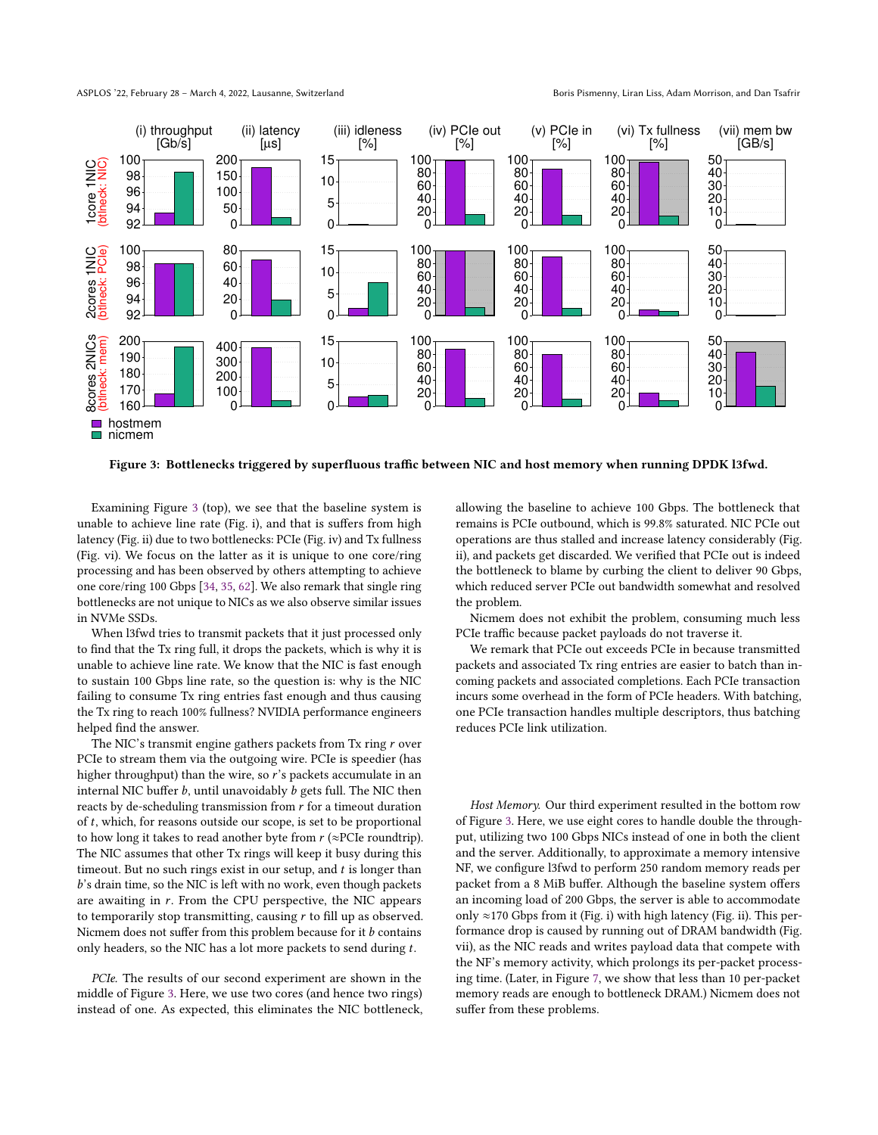ASPLOS '22, February 28 - March 4, 2022, Lausanne, Switzerland Born Borns Pismenny, Liran Liss, Adam Morrison, and Dan Tsafrir

<span id="page-3-0"></span>

Figure 3: Bottlenecks triggered by superfluous traffic between NIC and host memory when running DPDK l3fwd.

Examining Figure [3](#page-3-0) (top), we see that the baseline system is unable to achieve line rate (Fig. i), and that is suffers from high latency (Fig. ii) due to two bottlenecks: PCIe (Fig. iv) and Tx fullness (Fig. vi). We focus on the latter as it is unique to one core/ring processing and has been observed by others attempting to achieve one core/ring 100 Gbps [\[34,](#page-14-4) [35,](#page-15-27) [62\]](#page-15-28). We also remark that single ring bottlenecks are not unique to NICs as we also observe similar issues in NVMe SSDs.

When l3fwd tries to transmit packets that it just processed only to find that the Tx ring full, it drops the packets, which is why it is unable to achieve line rate. We know that the NIC is fast enough to sustain 100 Gbps line rate, so the question is: why is the NIC failing to consume Tx ring entries fast enough and thus causing the Tx ring to reach 100% fullness? NVIDIA performance engineers helped find the answer.

The NIC's transmit engine gathers packets from Tx ring  $r$  over PCIe to stream them via the outgoing wire. PCIe is speedier (has higher throughput) than the wire, so  $\vec{r}$ 's packets accumulate in an internal NIC buffer  $b$ , until unavoidably  $b$  gets full. The NIC then reacts by de-scheduling transmission from  $r$  for a timeout duration of  $t$ , which, for reasons outside our scope, is set to be proportional to how long it takes to read another byte from  $r$  (≈PCIe roundtrip). The NIC assumes that other Tx rings will keep it busy during this timeout. But no such rings exist in our setup, and  $t$  is longer than 's drain time, so the NIC is left with no work, even though packets are awaiting in  $r$ . From the CPU perspective, the NIC appears to temporarily stop transmitting, causing  $r$  to fill up as observed. Nicmem does not suffer from this problem because for it  $b$  contains only headers, so the NIC has a lot more packets to send during  $t$ .

PCIe. The results of our second experiment are shown in the middle of Figure [3.](#page-3-0) Here, we use two cores (and hence two rings) instead of one. As expected, this eliminates the NIC bottleneck, allowing the baseline to achieve 100 Gbps. The bottleneck that remains is PCIe outbound, which is 99.8% saturated. NIC PCIe out operations are thus stalled and increase latency considerably (Fig. ii), and packets get discarded. We verified that PCIe out is indeed the bottleneck to blame by curbing the client to deliver 90 Gbps, which reduced server PCIe out bandwidth somewhat and resolved the problem.

Nicmem does not exhibit the problem, consuming much less PCIe traffic because packet payloads do not traverse it.

We remark that PCIe out exceeds PCIe in because transmitted packets and associated Tx ring entries are easier to batch than incoming packets and associated completions. Each PCIe transaction incurs some overhead in the form of PCIe headers. With batching, one PCIe transaction handles multiple descriptors, thus batching reduces PCIe link utilization.

Host Memory. Our third experiment resulted in the bottom row of Figure [3.](#page-3-0) Here, we use eight cores to handle double the throughput, utilizing two 100 Gbps NICs instead of one in both the client and the server. Additionally, to approximate a memory intensive NF, we configure l3fwd to perform 250 random memory reads per packet from a 8 MiB buffer. Although the baseline system offers an incoming load of 200 Gbps, the server is able to accommodate only ≈170 Gbps from it (Fig. i) with high latency (Fig. ii). This performance drop is caused by running out of DRAM bandwidth (Fig. vii), as the NIC reads and writes payload data that compete with the NF's memory activity, which prolongs its per-packet processing time. (Later, in Figure [7,](#page-8-0) we show that less than 10 per-packet memory reads are enough to bottleneck DRAM.) Nicmem does not suffer from these problems.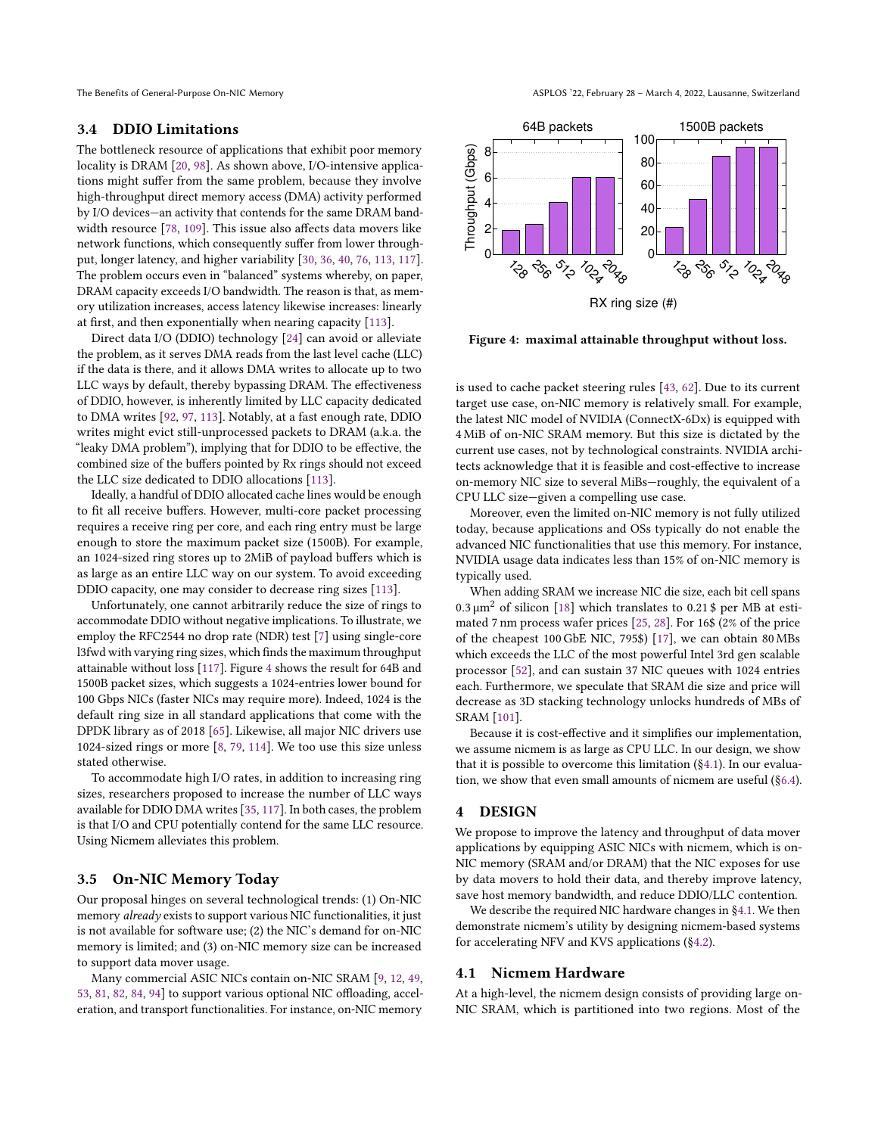### <span id="page-4-1"></span>3.4 DDIO Limitations

The bottleneck resource of applications that exhibit poor memory locality is DRAM [\[20,](#page-14-20) [98\]](#page-16-25). As shown above, I/O-intensive applications might suffer from the same problem, because they involve high-throughput direct memory access (DMA) activity performed by I/O devices—an activity that contends for the same DRAM bandwidth resource [\[78,](#page-16-4) [109\]](#page-16-9). This issue also affects data movers like network functions, which consequently suffer from lower throughput, longer latency, and higher variability [\[30,](#page-14-21) [36,](#page-15-29) [40,](#page-15-30) [76,](#page-16-26) [113,](#page-16-7) [117\]](#page-17-3). The problem occurs even in "balanced" systems whereby, on paper, DRAM capacity exceeds I/O bandwidth. The reason is that, as memory utilization increases, access latency likewise increases: linearly at first, and then exponentially when nearing capacity [\[113\]](#page-16-7).

Direct data I/O (DDIO) technology [\[24\]](#page-14-22) can avoid or alleviate the problem, as it serves DMA reads from the last level cache (LLC) if the data is there, and it allows DMA writes to allocate up to two LLC ways by default, thereby bypassing DRAM. The effectiveness of DDIO, however, is inherently limited by LLC capacity dedicated to DMA writes [\[92,](#page-16-8) [97,](#page-16-27) [113\]](#page-16-7). Notably, at a fast enough rate, DDIO writes might evict still-unprocessed packets to DRAM (a.k.a. the "leaky DMA problem"), implying that for DDIO to be effective, the combined size of the buffers pointed by Rx rings should not exceed the LLC size dedicated to DDIO allocations [\[113\]](#page-16-7).

Ideally, a handful of DDIO allocated cache lines would be enough to fit all receive buffers. However, multi-core packet processing requires a receive ring per core, and each ring entry must be large enough to store the maximum packet size (1500B). For example, an 1024-sized ring stores up to 2MiB of payload buffers which is as large as an entire LLC way on our system. To avoid exceeding DDIO capacity, one may consider to decrease ring sizes [\[113\]](#page-16-7).

Unfortunately, one cannot arbitrarily reduce the size of rings to accommodate DDIO without negative implications. To illustrate, we employ the RFC2544 no drop rate (NDR) test [\[7\]](#page-14-23) using single-core l3fwd with varying ring sizes, which finds the maximum throughput attainable without loss [\[117\]](#page-17-3). Figure [4](#page-4-3) shows the result for 64B and 1500B packet sizes, which suggests a 1024-entries lower bound for 100 Gbps NICs (faster NICs may require more). Indeed, 1024 is the default ring size in all standard applications that come with the DPDK library as of 2018 [\[65\]](#page-15-31). Likewise, all major NIC drivers use 1024-sized rings or more [\[8,](#page-14-24) [79,](#page-16-28) [114\]](#page-16-29). We too use this size unless stated otherwise.

To accommodate high I/O rates, in addition to increasing ring sizes, researchers proposed to increase the number of LLC ways available for DDIO DMA writes [\[35,](#page-15-27) [117\]](#page-17-3). In both cases, the problem is that I/O and CPU potentially contend for the same LLC resource. Using Nicmem alleviates this problem.

### <span id="page-4-2"></span>3.5 On-NIC Memory Today

Our proposal hinges on several technological trends: (1) On-NIC memory already exists to support various NIC functionalities, it just is not available for software use; (2) the NIC's demand for on-NIC memory is limited; and (3) on-NIC memory size can be increased to support data mover usage.

Many commercial ASIC NICs contain on-NIC SRAM [\[9,](#page-14-11) [12,](#page-14-0) [49,](#page-15-18) [53,](#page-15-0) [81,](#page-16-0) [82,](#page-16-1) [84,](#page-16-18) [94\]](#page-16-2) to support various optional NIC offloading, acceleration, and transport functionalities. For instance, on-NIC memory

<span id="page-4-3"></span>

Figure 4: maximal attainable throughput without loss.

is used to cache packet steering rules [\[43,](#page-15-32) [62\]](#page-15-28). Due to its current target use case, on-NIC memory is relatively small. For example, the latest NIC model of NVIDIA (ConnectX-6Dx) is equipped with 4 MiB of on-NIC SRAM memory. But this size is dictated by the current use cases, not by technological constraints. NVIDIA architects acknowledge that it is feasible and cost-effective to increase on-memory NIC size to several MiBs—roughly, the equivalent of a CPU LLC size—given a compelling use case.

Moreover, even the limited on-NIC memory is not fully utilized today, because applications and OSs typically do not enable the advanced NIC functionalities that use this memory. For instance, NVIDIA usage data indicates less than 15% of on-NIC memory is typically used.

When adding SRAM we increase NIC die size, each bit cell spans  $0.3 \mu m^2$  of silicon [\[18\]](#page-14-25) which translates to 0.21 \$ per MB at estimated 7 nm process wafer prices [\[25,](#page-14-26) [28\]](#page-14-27). For 16\$ (2% of the price of the cheapest 100 GbE NIC, 795\$) [\[17\]](#page-14-28), we can obtain 80 MBs which exceeds the LLC of the most powerful Intel 3rd gen scalable processor [\[52\]](#page-15-33), and can sustain 37 NIC queues with 1024 entries each. Furthermore, we speculate that SRAM die size and price will decrease as 3D stacking technology unlocks hundreds of MBs of SRAM [\[101\]](#page-16-30).

Because it is cost-effective and it simplifies our implementation, we assume nicmem is as large as CPU LLC. In our design, we show that it is possible to overcome this limitation (§[4.1\)](#page-4-4). In our evaluation, we show that even small amounts of nicmem are useful (§[6.4\)](#page-11-0).

### <span id="page-4-0"></span>4 DESIGN

We propose to improve the latency and throughput of data mover applications by equipping ASIC NICs with nicmem, which is on-NIC memory (SRAM and/or DRAM) that the NIC exposes for use by data movers to hold their data, and thereby improve latency, save host memory bandwidth, and reduce DDIO/LLC contention.

We describe the required NIC hardware changes in §[4.1.](#page-4-4) We then demonstrate nicmem's utility by designing nicmem-based systems for accelerating NFV and KVS applications (§[4.2\)](#page-5-0).

# <span id="page-4-4"></span>4.1 Nicmem Hardware

At a high-level, the nicmem design consists of providing large on-NIC SRAM, which is partitioned into two regions. Most of the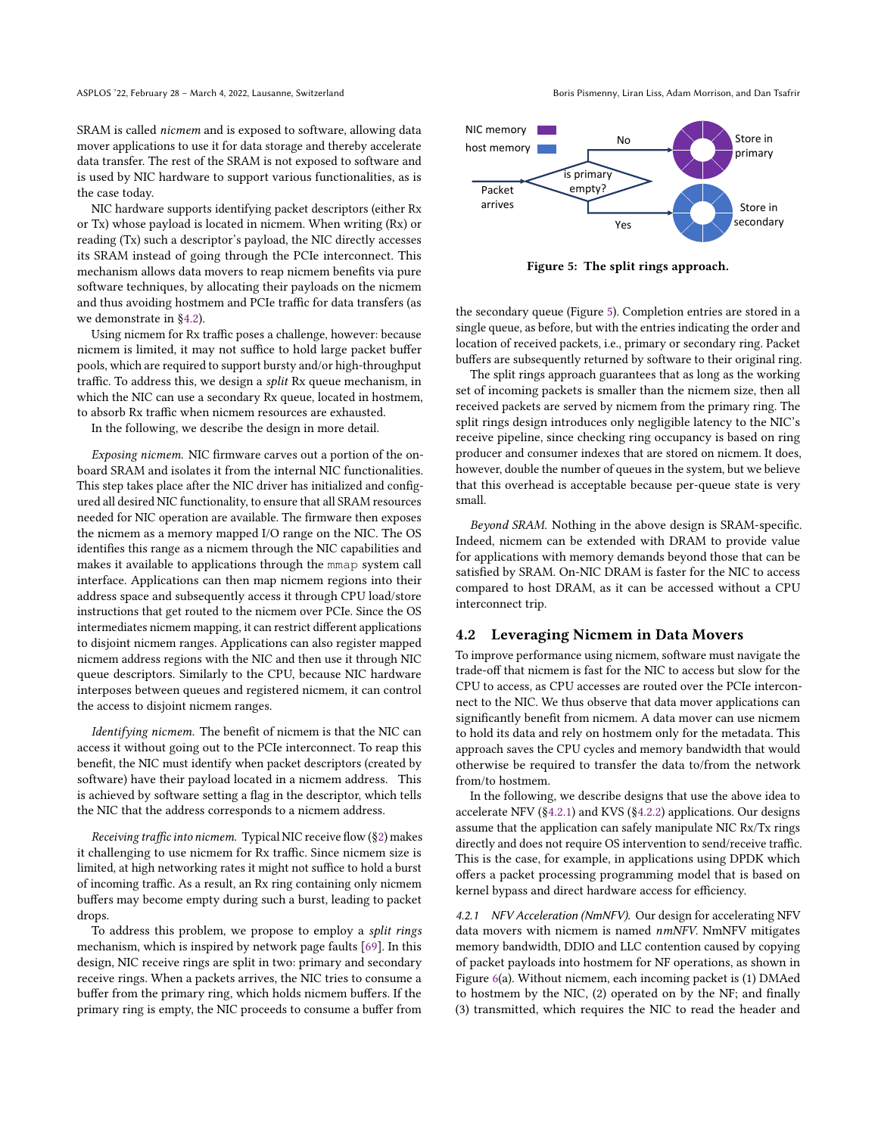SRAM is called nicmem and is exposed to software, allowing data mover applications to use it for data storage and thereby accelerate data transfer. The rest of the SRAM is not exposed to software and is used by NIC hardware to support various functionalities, as is the case today.

NIC hardware supports identifying packet descriptors (either Rx or Tx) whose payload is located in nicmem. When writing (Rx) or reading (Tx) such a descriptor's payload, the NIC directly accesses its SRAM instead of going through the PCIe interconnect. This mechanism allows data movers to reap nicmem benefits via pure software techniques, by allocating their payloads on the nicmem and thus avoiding hostmem and PCIe traffic for data transfers (as we demonstrate in §[4.2\)](#page-5-0).

Using nicmem for Rx traffic poses a challenge, however: because nicmem is limited, it may not suffice to hold large packet buffer pools, which are required to support bursty and/or high-throughput traffic. To address this, we design a split Rx queue mechanism, in which the NIC can use a secondary Rx queue, located in hostmem, to absorb Rx traffic when nicmem resources are exhausted.

In the following, we describe the design in more detail.

Exposing nicmem. NIC firmware carves out a portion of the onboard SRAM and isolates it from the internal NIC functionalities. This step takes place after the NIC driver has initialized and configured all desired NIC functionality, to ensure that all SRAM resources needed for NIC operation are available. The firmware then exposes the nicmem as a memory mapped I/O range on the NIC. The OS identifies this range as a nicmem through the NIC capabilities and makes it available to applications through the mmap system call interface. Applications can then map nicmem regions into their address space and subsequently access it through CPU load/store instructions that get routed to the nicmem over PCIe. Since the OS intermediates nicmem mapping, it can restrict different applications to disjoint nicmem ranges. Applications can also register mapped nicmem address regions with the NIC and then use it through NIC queue descriptors. Similarly to the CPU, because NIC hardware interposes between queues and registered nicmem, it can control the access to disjoint nicmem ranges.

Identifying nicmem. The benefit of nicmem is that the NIC can access it without going out to the PCIe interconnect. To reap this benefit, the NIC must identify when packet descriptors (created by software) have their payload located in a nicmem address. This is achieved by software setting a flag in the descriptor, which tells the NIC that the address corresponds to a nicmem address.

Receiving traffic into nicmem. Typical NIC receive flow (§[2\)](#page-1-1) makes it challenging to use nicmem for Rx traffic. Since nicmem size is limited, at high networking rates it might not suffice to hold a burst of incoming traffic. As a result, an Rx ring containing only nicmem buffers may become empty during such a burst, leading to packet drops.

To address this problem, we propose to employ a split rings mechanism, which is inspired by network page faults [\[69\]](#page-15-34). In this design, NIC receive rings are split in two: primary and secondary receive rings. When a packets arrives, the NIC tries to consume a buffer from the primary ring, which holds nicmem buffers. If the primary ring is empty, the NIC proceeds to consume a buffer from

<span id="page-5-1"></span>

Figure 5: The split rings approach.

the secondary queue (Figure [5\)](#page-5-1). Completion entries are stored in a single queue, as before, but with the entries indicating the order and location of received packets, i.e., primary or secondary ring. Packet buffers are subsequently returned by software to their original ring.

The split rings approach guarantees that as long as the working set of incoming packets is smaller than the nicmem size, then all received packets are served by nicmem from the primary ring. The split rings design introduces only negligible latency to the NIC's receive pipeline, since checking ring occupancy is based on ring producer and consumer indexes that are stored on nicmem. It does, however, double the number of queues in the system, but we believe that this overhead is acceptable because per-queue state is very small.

Beyond SRAM. Nothing in the above design is SRAM-specific. Indeed, nicmem can be extended with DRAM to provide value for applications with memory demands beyond those that can be satisfied by SRAM. On-NIC DRAM is faster for the NIC to access compared to host DRAM, as it can be accessed without a CPU interconnect trip.

### <span id="page-5-0"></span>4.2 Leveraging Nicmem in Data Movers

To improve performance using nicmem, software must navigate the trade-off that nicmem is fast for the NIC to access but slow for the CPU to access, as CPU accesses are routed over the PCIe interconnect to the NIC. We thus observe that data mover applications can significantly benefit from nicmem. A data mover can use nicmem to hold its data and rely on hostmem only for the metadata. This approach saves the CPU cycles and memory bandwidth that would otherwise be required to transfer the data to/from the network from/to hostmem.

In the following, we describe designs that use the above idea to accelerate NFV (§[4.2.1\)](#page-5-2) and KVS (§[4.2.2\)](#page-6-1) applications. Our designs assume that the application can safely manipulate NIC Rx/Tx rings directly and does not require OS intervention to send/receive traffic. This is the case, for example, in applications using DPDK which offers a packet processing programming model that is based on kernel bypass and direct hardware access for efficiency.

<span id="page-5-2"></span>4.2.1 NFV Acceleration (NmNFV). Our design for accelerating NFV data movers with nicmem is named nmNFV. NmNFV mitigates memory bandwidth, DDIO and LLC contention caused by copying of packet payloads into hostmem for NF operations, as shown in Figure [6\(](#page-6-2)a). Without nicmem, each incoming packet is (1) DMAed to hostmem by the NIC, (2) operated on by the NF; and finally (3) transmitted, which requires the NIC to read the header and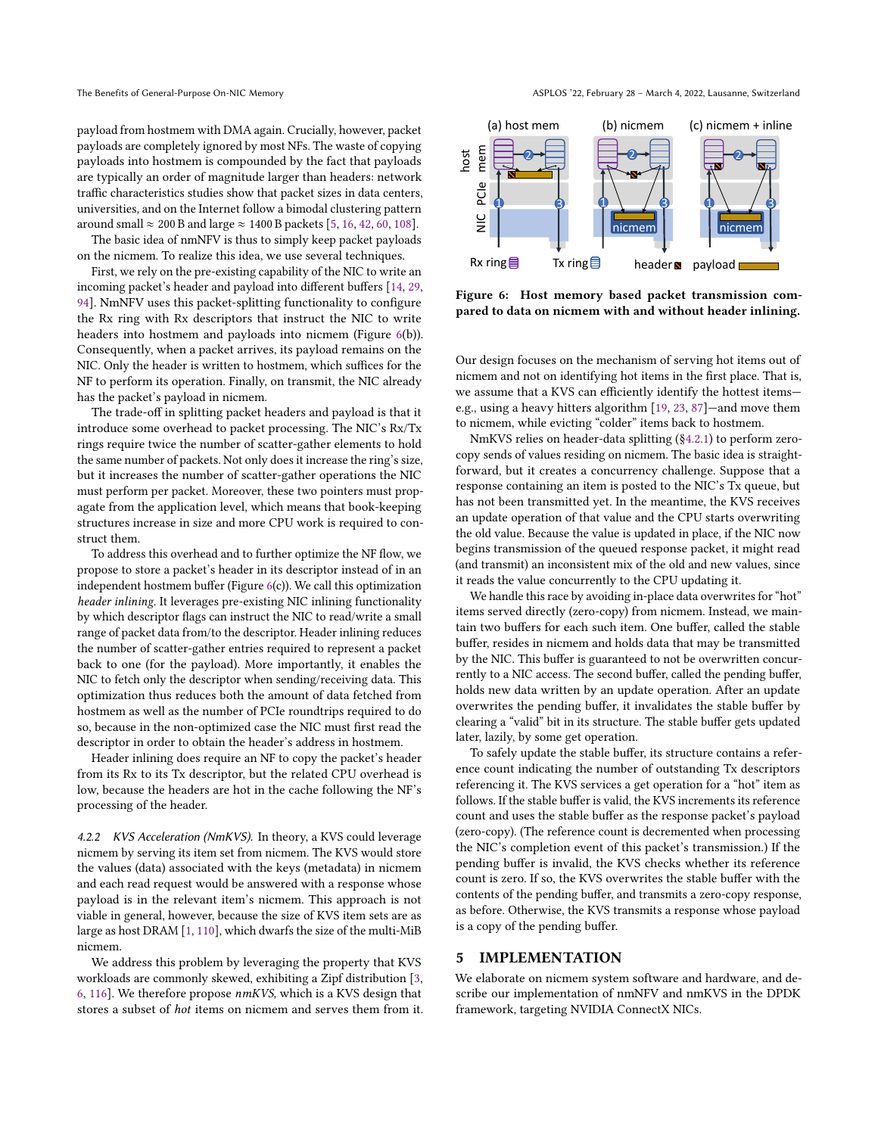payload from hostmem with DMA again. Crucially, however, packet payloads are completely ignored by most NFs. The waste of copying payloads into hostmem is compounded by the fact that payloads are typically an order of magnitude larger than headers: network traffic characteristics studies show that packet sizes in data centers, universities, and on the Internet follow a bimodal clustering pattern around small  $\approx 200$  B and large  $\approx 1400$  B packets [\[5,](#page-14-29) [16,](#page-14-30) [42,](#page-15-35) [60,](#page-15-36) [108\]](#page-16-31).

The basic idea of nmNFV is thus to simply keep packet payloads on the nicmem. To realize this idea, we use several techniques.

First, we rely on the pre-existing capability of the NIC to write an incoming packet's header and payload into different buffers [\[14,](#page-14-12) [29,](#page-14-13) [94\]](#page-16-2). NmNFV uses this packet-splitting functionality to configure the Rx ring with Rx descriptors that instruct the NIC to write headers into hostmem and payloads into nicmem (Figure [6\(](#page-6-2)b)). Consequently, when a packet arrives, its payload remains on the NIC. Only the header is written to hostmem, which suffices for the NF to perform its operation. Finally, on transmit, the NIC already has the packet's payload in nicmem.

The trade-off in splitting packet headers and payload is that it introduce some overhead to packet processing. The NIC's Rx/Tx rings require twice the number of scatter-gather elements to hold the same number of packets. Not only does it increase the ring's size, but it increases the number of scatter-gather operations the NIC must perform per packet. Moreover, these two pointers must propagate from the application level, which means that book-keeping structures increase in size and more CPU work is required to construct them.

To address this overhead and to further optimize the NF flow, we propose to store a packet's header in its descriptor instead of in an independent hostmem buffer (Figure [6\(](#page-6-2)c)). We call this optimization header inlining. It leverages pre-existing NIC inlining functionality by which descriptor flags can instruct the NIC to read/write a small range of packet data from/to the descriptor. Header inlining reduces the number of scatter-gather entries required to represent a packet back to one (for the payload). More importantly, it enables the NIC to fetch only the descriptor when sending/receiving data. This optimization thus reduces both the amount of data fetched from hostmem as well as the number of PCIe roundtrips required to do so, because in the non-optimized case the NIC must first read the descriptor in order to obtain the header's address in hostmem.

Header inlining does require an NF to copy the packet's header from its Rx to its Tx descriptor, but the related CPU overhead is low, because the headers are hot in the cache following the NF's processing of the header.

<span id="page-6-1"></span>4.2.2 KVS Acceleration (NmKVS). In theory, a KVS could leverage nicmem by serving its item set from nicmem. The KVS would store the values (data) associated with the keys (metadata) in nicmem and each read request would be answered with a response whose payload is in the relevant item's nicmem. This approach is not viable in general, however, because the size of KVS item sets are as large as host DRAM [\[1,](#page-14-31) [110\]](#page-16-32), which dwarfs the size of the multi-MiB nicmem.

We address this problem by leveraging the property that KVS workloads are commonly skewed, exhibiting a Zipf distribution [\[3,](#page-14-14) [6,](#page-14-15) [116\]](#page-17-2). We therefore propose nmKVS, which is a KVS design that stores a subset of hot items on nicmem and serves them from it.

<span id="page-6-2"></span>

Figure 6: Host memory based packet transmission compared to data on nicmem with and without header inlining.

Our design focuses on the mechanism of serving hot items out of nicmem and not on identifying hot items in the first place. That is, we assume that a KVS can efficiently identify the hottest items e.g., using a heavy hitters algorithm [\[19,](#page-14-32) [23,](#page-14-33) [87\]](#page-16-33)—and move them to nicmem, while evicting "colder" items back to hostmem.

NmKVS relies on header-data splitting (§[4.2.1\)](#page-5-2) to perform zerocopy sends of values residing on nicmem. The basic idea is straightforward, but it creates a concurrency challenge. Suppose that a response containing an item is posted to the NIC's Tx queue, but has not been transmitted yet. In the meantime, the KVS receives an update operation of that value and the CPU starts overwriting the old value. Because the value is updated in place, if the NIC now begins transmission of the queued response packet, it might read (and transmit) an inconsistent mix of the old and new values, since it reads the value concurrently to the CPU updating it.

We handle this race by avoiding in-place data overwrites for "hot" items served directly (zero-copy) from nicmem. Instead, we maintain two buffers for each such item. One buffer, called the stable buffer, resides in nicmem and holds data that may be transmitted by the NIC. This buffer is guaranteed to not be overwritten concurrently to a NIC access. The second buffer, called the pending buffer, holds new data written by an update operation. After an update overwrites the pending buffer, it invalidates the stable buffer by clearing a "valid" bit in its structure. The stable buffer gets updated later, lazily, by some get operation.

To safely update the stable buffer, its structure contains a reference count indicating the number of outstanding Tx descriptors referencing it. The KVS services a get operation for a "hot" item as follows. If the stable buffer is valid, the KVS increments its reference count and uses the stable buffer as the response packet's payload (zero-copy). (The reference count is decremented when processing the NIC's completion event of this packet's transmission.) If the pending buffer is invalid, the KVS checks whether its reference count is zero. If so, the KVS overwrites the stable buffer with the contents of the pending buffer, and transmits a zero-copy response, as before. Otherwise, the KVS transmits a response whose payload is a copy of the pending buffer.

# <span id="page-6-0"></span>5 IMPLEMENTATION

We elaborate on nicmem system software and hardware, and describe our implementation of nmNFV and nmKVS in the DPDK framework, targeting NVIDIA ConnectX NICs.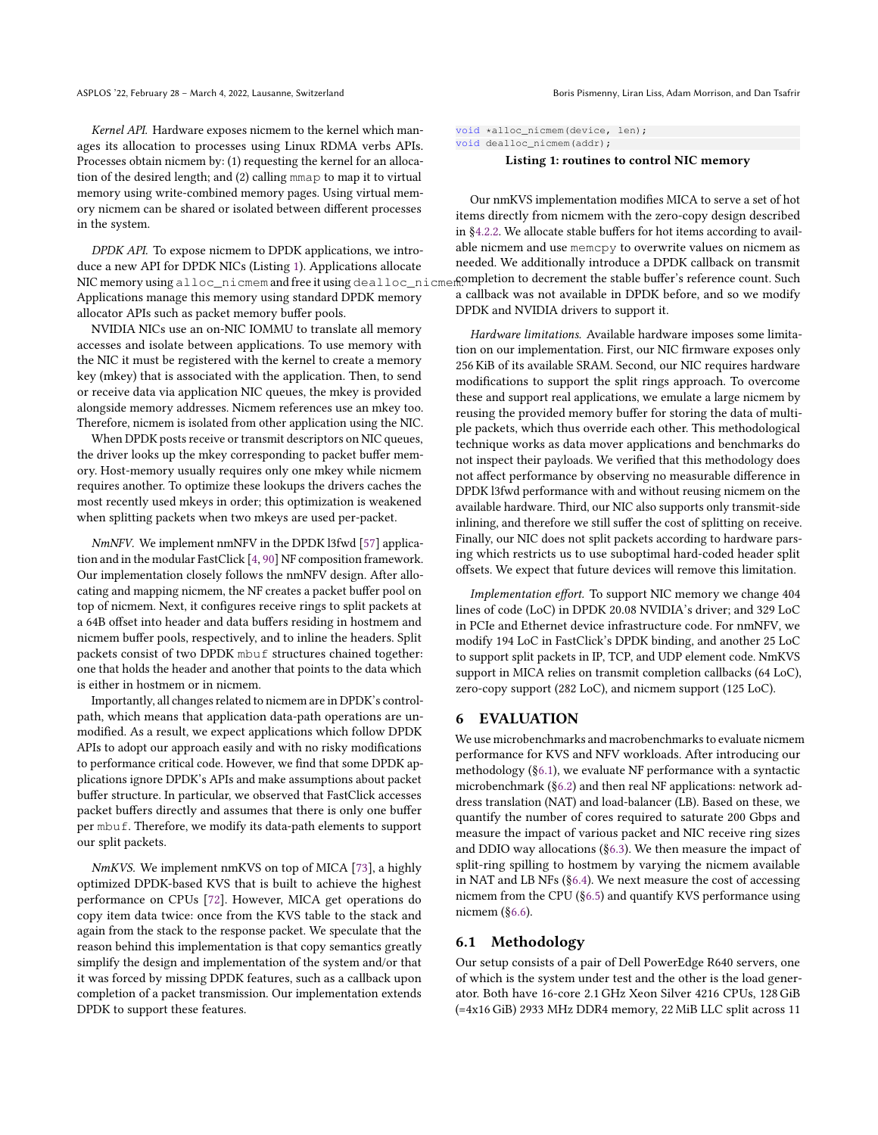Kernel API. Hardware exposes nicmem to the kernel which manages its allocation to processes using Linux RDMA verbs APIs. Processes obtain nicmem by: (1) requesting the kernel for an allocation of the desired length; and (2) calling mmap to map it to virtual memory using write-combined memory pages. Using virtual memory nicmem can be shared or isolated between different processes in the system.

DPDK API. To expose nicmem to DPDK applications, we introduce a new API for DPDK NICs (Listing [1\)](#page-7-2). Applications allocate NIC memory using alloc\_nicmem and free it using dealloc\_nicmem@ompletion to decrement the stable buffer's reference count. Such Applications manage this memory using standard DPDK memory allocator APIs such as packet memory buffer pools.

NVIDIA NICs use an on-NIC IOMMU to translate all memory accesses and isolate between applications. To use memory with the NIC it must be registered with the kernel to create a memory key (mkey) that is associated with the application. Then, to send or receive data via application NIC queues, the mkey is provided alongside memory addresses. Nicmem references use an mkey too. Therefore, nicmem is isolated from other application using the NIC.

When DPDK posts receive or transmit descriptors on NIC queues, the driver looks up the mkey corresponding to packet buffer memory. Host-memory usually requires only one mkey while nicmem requires another. To optimize these lookups the drivers caches the most recently used mkeys in order; this optimization is weakened when splitting packets when two mkeys are used per-packet.

NmNFV. We implement nmNFV in the DPDK l3fwd [\[57\]](#page-15-25) application and in the modular FastClick [\[4,](#page-14-8) [90\]](#page-16-34) NF composition framework. Our implementation closely follows the nmNFV design. After allocating and mapping nicmem, the NF creates a packet buffer pool on top of nicmem. Next, it configures receive rings to split packets at a 64B offset into header and data buffers residing in hostmem and nicmem buffer pools, respectively, and to inline the headers. Split packets consist of two DPDK mbuf structures chained together: one that holds the header and another that points to the data which is either in hostmem or in nicmem.

Importantly, all changes related to nicmem are in DPDK's controlpath, which means that application data-path operations are unmodified. As a result, we expect applications which follow DPDK APIs to adopt our approach easily and with no risky modifications to performance critical code. However, we find that some DPDK applications ignore DPDK's APIs and make assumptions about packet buffer structure. In particular, we observed that FastClick accesses packet buffers directly and assumes that there is only one buffer per mbuf. Therefore, we modify its data-path elements to support our split packets.

NmKVS. We implement nmKVS on top of MICA [\[73\]](#page-15-14), a highly optimized DPDK-based KVS that is built to achieve the highest performance on CPUs [\[72\]](#page-15-37). However, MICA get operations do copy item data twice: once from the KVS table to the stack and again from the stack to the response packet. We speculate that the reason behind this implementation is that copy semantics greatly simplify the design and implementation of the system and/or that it was forced by missing DPDK features, such as a callback upon completion of a packet transmission. Our implementation extends DPDK to support these features.

<span id="page-7-2"></span>void \*alloc\_nicmem(device, len); void dealloc\_nicmem(addr);

#### Listing 1: routines to control NIC memory

Our nmKVS implementation modifies MICA to serve a set of hot items directly from nicmem with the zero-copy design described in §[4.2.2.](#page-6-1) We allocate stable buffers for hot items according to available nicmem and use memcpy to overwrite values on nicmem as needed. We additionally introduce a DPDK callback on transmit a callback was not available in DPDK before, and so we modify DPDK and NVIDIA drivers to support it.

Hardware limitations. Available hardware imposes some limitation on our implementation. First, our NIC firmware exposes only 256 KiB of its available SRAM. Second, our NIC requires hardware modifications to support the split rings approach. To overcome these and support real applications, we emulate a large nicmem by reusing the provided memory buffer for storing the data of multiple packets, which thus override each other. This methodological technique works as data mover applications and benchmarks do not inspect their payloads. We verified that this methodology does not affect performance by observing no measurable difference in DPDK l3fwd performance with and without reusing nicmem on the available hardware. Third, our NIC also supports only transmit-side inlining, and therefore we still suffer the cost of splitting on receive. Finally, our NIC does not split packets according to hardware parsing which restricts us to use suboptimal hard-coded header split offsets. We expect that future devices will remove this limitation.

Implementation effort. To support NIC memory we change 404 lines of code (LoC) in DPDK 20.08 NVIDIA's driver; and 329 LoC in PCIe and Ethernet device infrastructure code. For nmNFV, we modify 194 LoC in FastClick's DPDK binding, and another 25 LoC to support split packets in IP, TCP, and UDP element code. NmKVS support in MICA relies on transmit completion callbacks (64 LoC), zero-copy support (282 LoC), and nicmem support (125 LoC).

### <span id="page-7-0"></span>6 EVALUATION

We use microbenchmarks and macrobenchmarks to evaluate nicmem performance for KVS and NFV workloads. After introducing our methodology (§[6.1\)](#page-7-1), we evaluate NF performance with a syntactic microbenchmark (§[6.2\)](#page-8-1) and then real NF applications: network address translation (NAT) and load-balancer (LB). Based on these, we quantify the number of cores required to saturate 200 Gbps and measure the impact of various packet and NIC receive ring sizes and DDIO way allocations (§[6.3\)](#page-9-0). We then measure the impact of split-ring spilling to hostmem by varying the nicmem available in NAT and LB NFs (§[6.4\)](#page-11-0). We next measure the cost of accessing nicmem from the CPU (§[6.5\)](#page-11-1) and quantify KVS performance using nicmem (§[6.6\)](#page-11-2).

### <span id="page-7-1"></span>6.1 Methodology

Our setup consists of a pair of Dell PowerEdge R640 servers, one of which is the system under test and the other is the load generator. Both have 16-core 2.1 GHz Xeon Silver 4216 CPUs, 128 GiB (=4x16 GiB) 2933 MHz DDR4 memory, 22 MiB LLC split across 11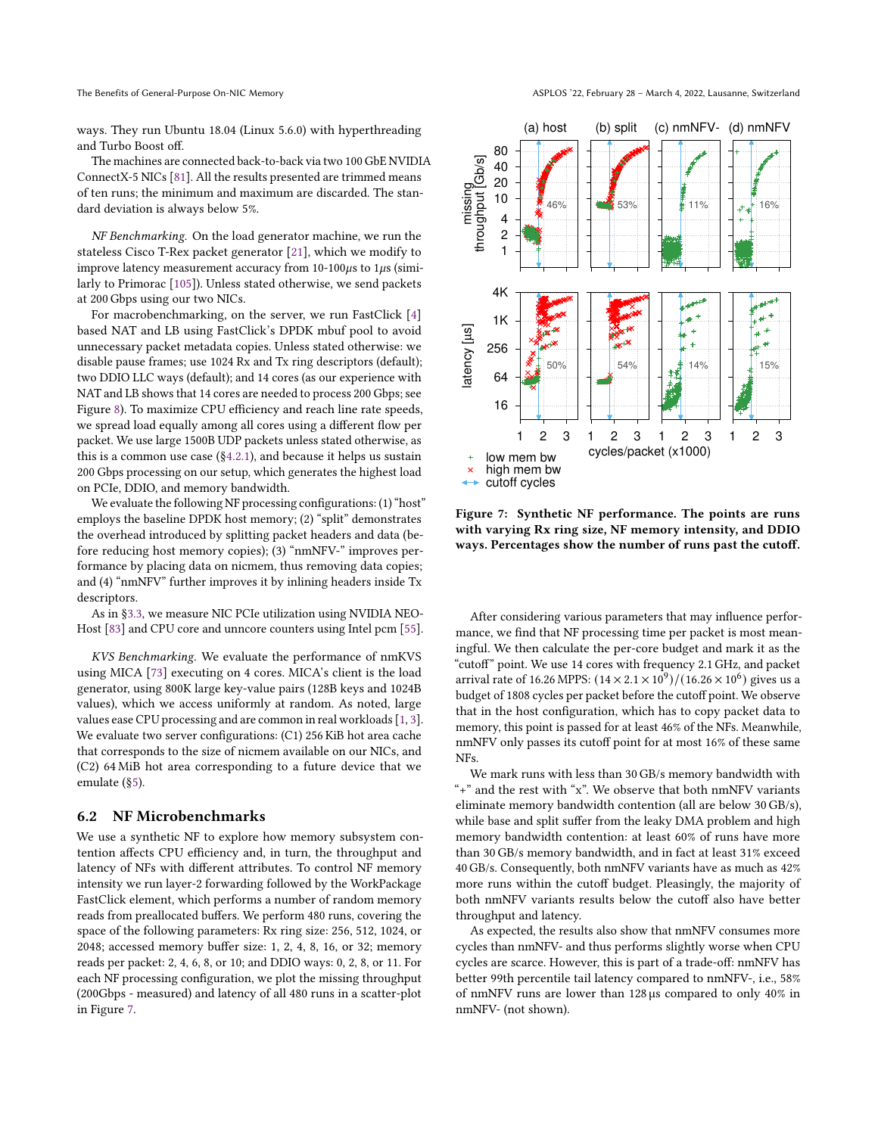ways. They run Ubuntu 18.04 (Linux 5.6.0) with hyperthreading and Turbo Boost off.

The machines are connected back-to-back via two 100 GbE NVIDIA ConnectX-5 NICs [\[81\]](#page-16-0). All the results presented are trimmed means of ten runs; the minimum and maximum are discarded. The standard deviation is always below 5%.

NF Benchmarking. On the load generator machine, we run the stateless Cisco T-Rex packet generator [\[21\]](#page-14-19), which we modify to improve latency measurement accuracy from  $10-100\mu s$  to  $1\mu s$  (similarly to Primorac [\[105\]](#page-16-35)). Unless stated otherwise, we send packets at 200 Gbps using our two NICs.

For macrobenchmarking, on the server, we run FastClick [\[4\]](#page-14-8) based NAT and LB using FastClick's DPDK mbuf pool to avoid unnecessary packet metadata copies. Unless stated otherwise: we disable pause frames; use 1024 Rx and Tx ring descriptors (default); two DDIO LLC ways (default); and 14 cores (as our experience with NAT and LB shows that 14 cores are needed to process 200 Gbps; see Figure [8\)](#page-9-1). To maximize CPU efficiency and reach line rate speeds, we spread load equally among all cores using a different flow per packet. We use large 1500B UDP packets unless stated otherwise, as this is a common use case  $(\S4.2.1)$  $(\S4.2.1)$ , and because it helps us sustain 200 Gbps processing on our setup, which generates the highest load on PCIe, DDIO, and memory bandwidth.

We evaluate the following NF processing configurations: (1) "host" employs the baseline DPDK host memory; (2) "split" demonstrates the overhead introduced by splitting packet headers and data (before reducing host memory copies); (3) "nmNFV-" improves performance by placing data on nicmem, thus removing data copies; and (4) "nmNFV" further improves it by inlining headers inside Tx descriptors.

As in §[3.3,](#page-2-3) we measure NIC PCIe utilization using NVIDIA NEO-Host [\[83\]](#page-16-24) and CPU core and unncore counters using Intel pcm [\[55\]](#page-15-26).

KVS Benchmarking. We evaluate the performance of nmKVS using MICA [\[73\]](#page-15-14) executing on 4 cores. MICA's client is the load generator, using 800K large key-value pairs (128B keys and 1024B values), which we access uniformly at random. As noted, large values ease CPU processing and are common in real workloads [\[1,](#page-14-31) [3\]](#page-14-14). We evaluate two server configurations: (C1) 256 KiB hot area cache that corresponds to the size of nicmem available on our NICs, and (C2) 64 MiB hot area corresponding to a future device that we emulate (§[5\)](#page-6-0).

#### <span id="page-8-1"></span>6.2 NF Microbenchmarks

We use a synthetic NF to explore how memory subsystem contention affects CPU efficiency and, in turn, the throughput and latency of NFs with different attributes. To control NF memory intensity we run layer-2 forwarding followed by the WorkPackage FastClick element, which performs a number of random memory reads from preallocated buffers. We perform 480 runs, covering the space of the following parameters: Rx ring size: 256, 512, 1024, or 2048; accessed memory buffer size: 1, 2, 4, 8, 16, or 32; memory reads per packet: 2, 4, 6, 8, or 10; and DDIO ways: 0, 2, 8, or 11. For each NF processing configuration, we plot the missing throughput (200Gbps - measured) and latency of all 480 runs in a scatter-plot in Figure [7.](#page-8-0)

<span id="page-8-0"></span>

Figure 7: Synthetic NF performance. The points are runs with varying Rx ring size, NF memory intensity, and DDIO ways. Percentages show the number of runs past the cutoff.

After considering various parameters that may influence performance, we find that NF processing time per packet is most meaningful. We then calculate the per-core budget and mark it as the "cutoff" point. We use 14 cores with frequency 2.1 GHz, and packet arrival rate of 16.26 MPPS:  $(14 \times 2.1 \times 10^9)/(16.26 \times 10^6)$  gives us a budget of 1808 cycles per packet before the cutoff point. We observe that in the host configuration, which has to copy packet data to memory, this point is passed for at least 46% of the NFs. Meanwhile, nmNFV only passes its cutoff point for at most 16% of these same NFs.

We mark runs with less than 30 GB/s memory bandwidth with  $\lq$  +" and the rest with "x". We observe that both nmNFV variants eliminate memory bandwidth contention (all are below 30 GB/s), while base and split suffer from the leaky DMA problem and high memory bandwidth contention: at least 60% of runs have more than 30 GB/s memory bandwidth, and in fact at least 31% exceed 40 GB/s. Consequently, both nmNFV variants have as much as 42% more runs within the cutoff budget. Pleasingly, the majority of both nmNFV variants results below the cutoff also have better throughput and latency.

As expected, the results also show that nmNFV consumes more cycles than nmNFV- and thus performs slightly worse when CPU cycles are scarce. However, this is part of a trade-off: nmNFV has better 99th percentile tail latency compared to nmNFV-, i.e., 58% of nmNFV runs are lower than 128 µs compared to only 40% in nmNFV- (not shown).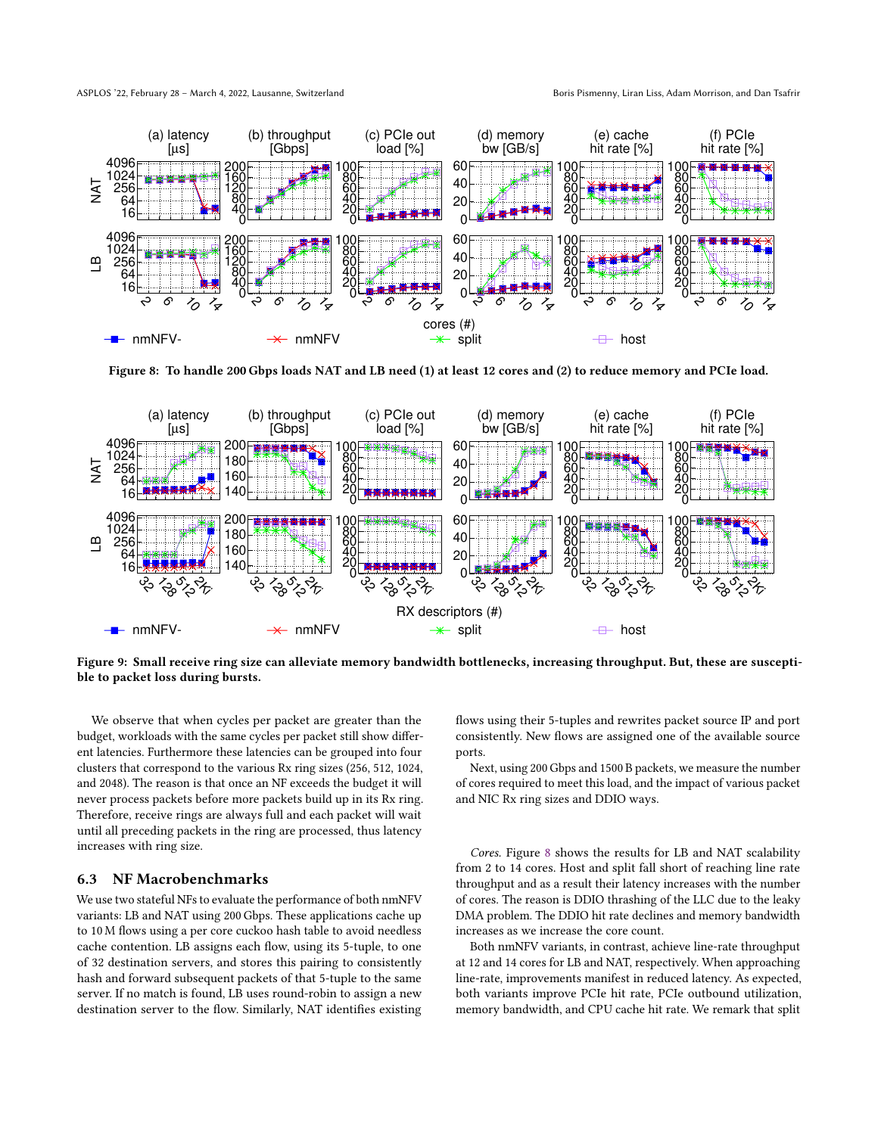ASPLOS '22, February 28 - March 4, 2022, Lausanne, Switzerland Born Borns Pismenny, Liran Liss, Adam Morrison, and Dan Tsafrir

<span id="page-9-1"></span>

Figure 8: To handle 200 Gbps loads NAT and LB need (1) at least 12 cores and (2) to reduce memory and PCIe load.

<span id="page-9-2"></span>

Figure 9: Small receive ring size can alleviate memory bandwidth bottlenecks, increasing throughput. But, these are susceptible to packet loss during bursts.

We observe that when cycles per packet are greater than the budget, workloads with the same cycles per packet still show different latencies. Furthermore these latencies can be grouped into four clusters that correspond to the various Rx ring sizes (256, 512, 1024, and 2048). The reason is that once an NF exceeds the budget it will never process packets before more packets build up in its Rx ring. Therefore, receive rings are always full and each packet will wait until all preceding packets in the ring are processed, thus latency increases with ring size.

# <span id="page-9-0"></span>6.3 NF Macrobenchmarks

We use two stateful NFs to evaluate the performance of both nmNFV variants: LB and NAT using 200 Gbps. These applications cache up to 10 M flows using a per core cuckoo hash table to avoid needless cache contention. LB assigns each flow, using its 5-tuple, to one of 32 destination servers, and stores this pairing to consistently hash and forward subsequent packets of that 5-tuple to the same server. If no match is found, LB uses round-robin to assign a new destination server to the flow. Similarly, NAT identifies existing flows using their 5-tuples and rewrites packet source IP and port consistently. New flows are assigned one of the available source ports.

Next, using 200 Gbps and 1500 B packets, we measure the number of cores required to meet this load, and the impact of various packet and NIC Rx ring sizes and DDIO ways.

Cores. Figure [8](#page-9-1) shows the results for LB and NAT scalability from 2 to 14 cores. Host and split fall short of reaching line rate throughput and as a result their latency increases with the number of cores. The reason is DDIO thrashing of the LLC due to the leaky DMA problem. The DDIO hit rate declines and memory bandwidth increases as we increase the core count.

Both nmNFV variants, in contrast, achieve line-rate throughput at 12 and 14 cores for LB and NAT, respectively. When approaching line-rate, improvements manifest in reduced latency. As expected, both variants improve PCIe hit rate, PCIe outbound utilization, memory bandwidth, and CPU cache hit rate. We remark that split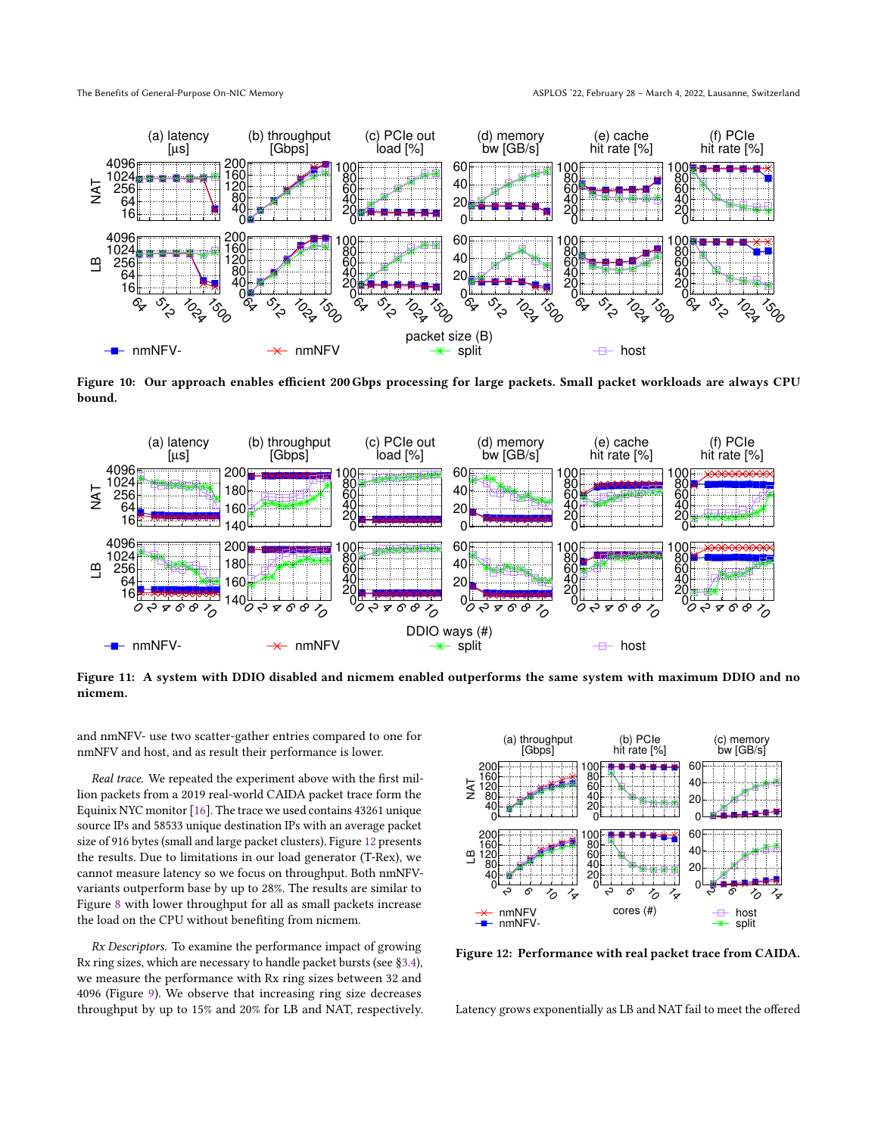<span id="page-10-1"></span>

Figure 10: Our approach enables efficient 200 Gbps processing for large packets. Small packet workloads are always CPU bound.

<span id="page-10-2"></span>

Figure 11: A system with DDIO disabled and nicmem enabled outperforms the same system with maximum DDIO and no nicmem.

and nmNFV- use two scatter-gather entries compared to one for nmNFV and host, and as result their performance is lower.

Real trace. We repeated the experiment above with the first million packets from a 2019 real-world CAIDA packet trace form the Equinix NYC monitor [\[16\]](#page-14-30). The trace we used contains 43261 unique source IPs and 58533 unique destination IPs with an average packet size of 916 bytes (small and large packet clusters). Figure [12](#page-10-0) presents the results. Due to limitations in our load generator (T-Rex), we cannot measure latency so we focus on throughput. Both nmNFVvariants outperform base by up to 28%. The results are similar to Figure [8](#page-9-1) with lower throughput for all as small packets increase the load on the CPU without benefiting from nicmem.

Rx Descriptors. To examine the performance impact of growing Rx ring sizes, which are necessary to handle packet bursts (see §[3.4\)](#page-4-1), we measure the performance with Rx ring sizes between 32 and 4096 (Figure [9\)](#page-9-2). We observe that increasing ring size decreases throughput by up to 15% and 20% for LB and NAT, respectively.

<span id="page-10-0"></span>

Figure 12: Performance with real packet trace from CAIDA.

Latency grows exponentially as LB and NAT fail to meet the offered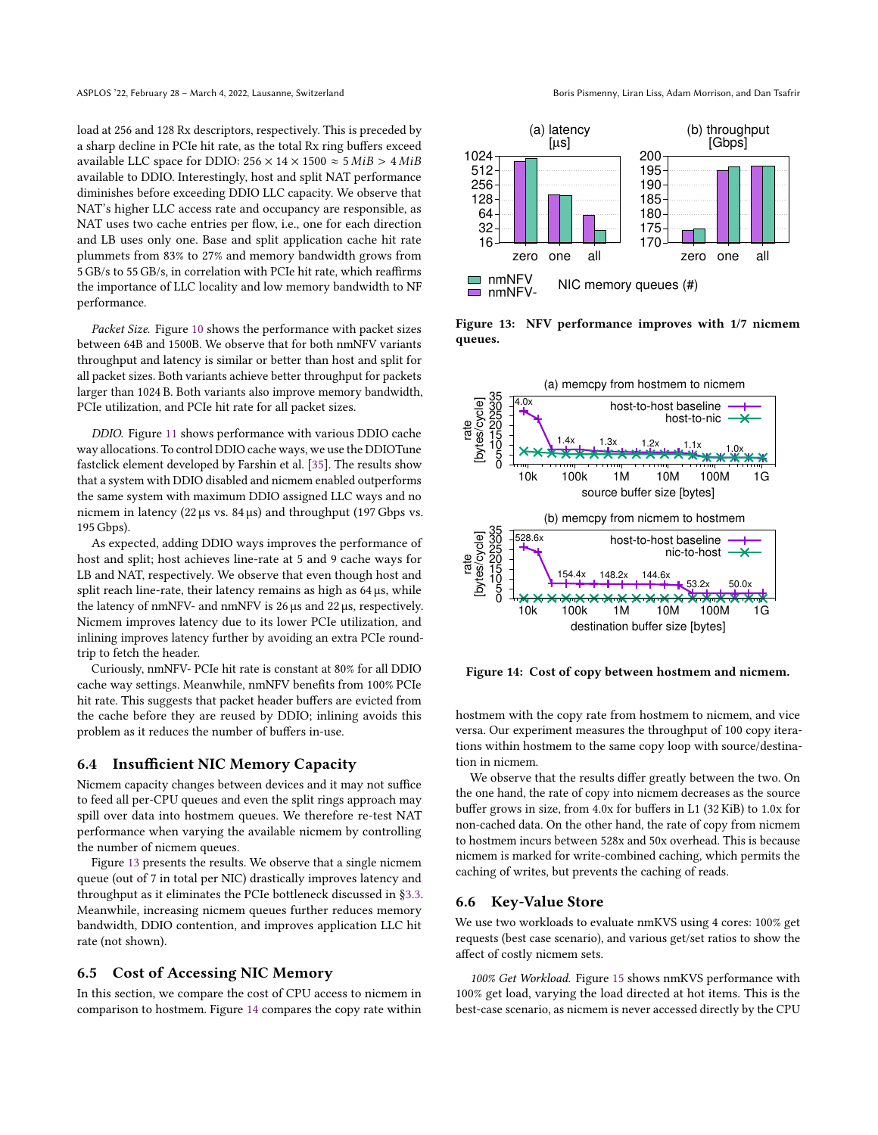load at 256 and 128 Rx descriptors, respectively. This is preceded by a sharp decline in PCIe hit rate, as the total Rx ring buffers exceed available LLC space for DDIO:  $256 \times 14 \times 1500 \approx 5$  MiB >  $4$  MiB available to DDIO. Interestingly, host and split NAT performance diminishes before exceeding DDIO LLC capacity. We observe that NAT's higher LLC access rate and occupancy are responsible, as NAT uses two cache entries per flow, i.e., one for each direction and LB uses only one. Base and split application cache hit rate plummets from 83% to 27% and memory bandwidth grows from 5 GB/s to 55 GB/s, in correlation with PCIe hit rate, which reaffirms the importance of LLC locality and low memory bandwidth to NF performance.

Packet Size. Figure [10](#page-10-1) shows the performance with packet sizes between 64B and 1500B. We observe that for both nmNFV variants throughput and latency is similar or better than host and split for all packet sizes. Both variants achieve better throughput for packets larger than 1024 B. Both variants also improve memory bandwidth, PCIe utilization, and PCIe hit rate for all packet sizes.

DDIO. Figure [11](#page-10-2) shows performance with various DDIO cache way allocations. To control DDIO cache ways, we use the DDIOTune fastclick element developed by Farshin et al. [\[35\]](#page-15-27). The results show that a system with DDIO disabled and nicmem enabled outperforms the same system with maximum DDIO assigned LLC ways and no nicmem in latency (22 µs vs. 84 µs) and throughput (197 Gbps vs. 195 Gbps).

As expected, adding DDIO ways improves the performance of host and split; host achieves line-rate at 5 and 9 cache ways for LB and NAT, respectively. We observe that even though host and split reach line-rate, their latency remains as high as  $64 \,\mu s$ , while the latency of nmNFV- and nmNFV is 26 µs and 22 µs, respectively. Nicmem improves latency due to its lower PCIe utilization, and inlining improves latency further by avoiding an extra PCIe roundtrip to fetch the header.

Curiously, nmNFV- PCIe hit rate is constant at 80% for all DDIO cache way settings. Meanwhile, nmNFV benefits from 100% PCIe hit rate. This suggests that packet header buffers are evicted from the cache before they are reused by DDIO; inlining avoids this problem as it reduces the number of buffers in-use.

### <span id="page-11-0"></span>6.4 Insufficient NIC Memory Capacity

Nicmem capacity changes between devices and it may not suffice to feed all per-CPU queues and even the split rings approach may spill over data into hostmem queues. We therefore re-test NAT performance when varying the available nicmem by controlling the number of nicmem queues.

Figure [13](#page-11-3) presents the results. We observe that a single nicmem queue (out of 7 in total per NIC) drastically improves latency and throughput as it eliminates the PCIe bottleneck discussed in §[3.3.](#page-2-3) Meanwhile, increasing nicmem queues further reduces memory bandwidth, DDIO contention, and improves application LLC hit rate (not shown).

## <span id="page-11-1"></span>6.5 Cost of Accessing NIC Memory

In this section, we compare the cost of CPU access to nicmem in comparison to hostmem. Figure [14](#page-11-4) compares the copy rate within

<span id="page-11-3"></span>

Figure 13: NFV performance improves with 1/7 nicmem queues.

<span id="page-11-4"></span>

Figure 14: Cost of copy between hostmem and nicmem.

hostmem with the copy rate from hostmem to nicmem, and vice versa. Our experiment measures the throughput of 100 copy iterations within hostmem to the same copy loop with source/destination in nicmem.

We observe that the results differ greatly between the two. On the one hand, the rate of copy into nicmem decreases as the source buffer grows in size, from 4.0x for buffers in L1 (32 KiB) to 1.0x for non-cached data. On the other hand, the rate of copy from nicmem to hostmem incurs between 528x and 50x overhead. This is because nicmem is marked for write-combined caching, which permits the caching of writes, but prevents the caching of reads.

### <span id="page-11-2"></span>6.6 Key-Value Store

We use two workloads to evaluate nmKVS using 4 cores: 100% get requests (best case scenario), and various get/set ratios to show the affect of costly nicmem sets.

100% Get Workload. Figure [15](#page-12-0) shows nmKVS performance with 100% get load, varying the load directed at hot items. This is the best-case scenario, as nicmem is never accessed directly by the CPU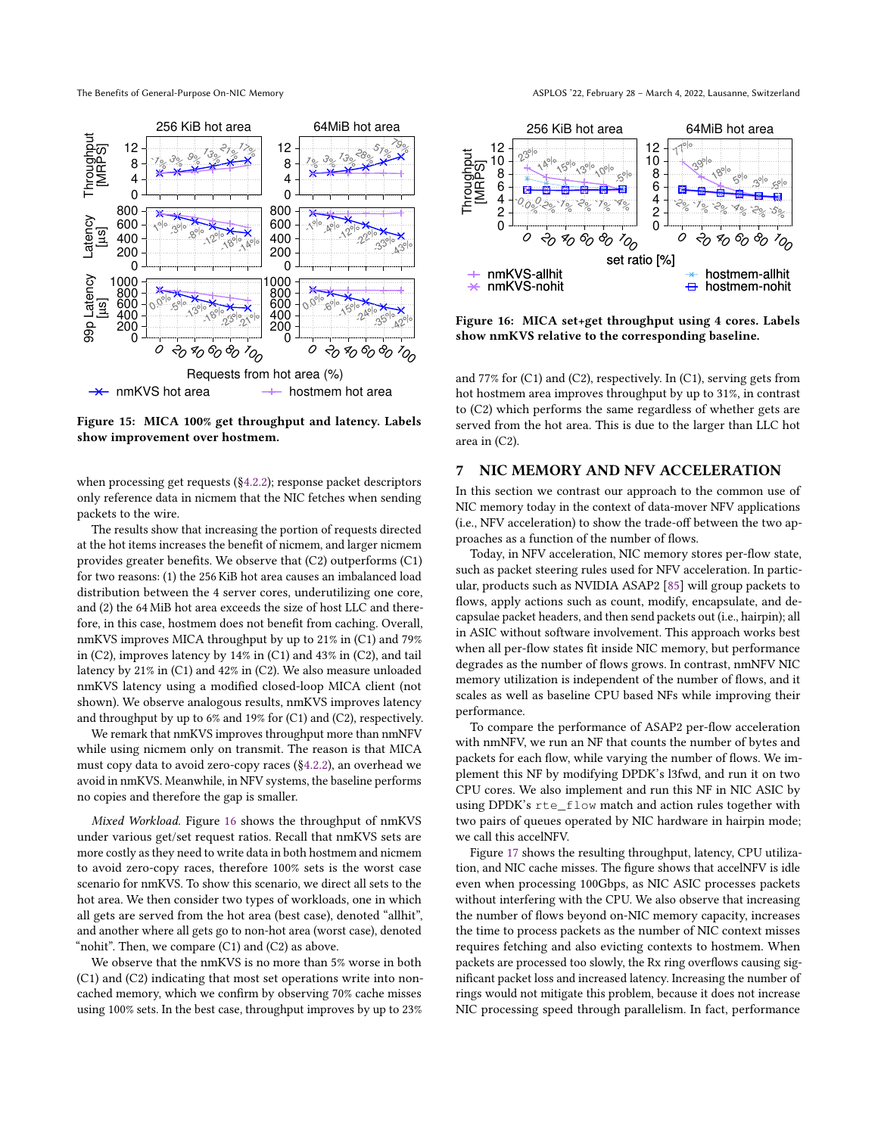<span id="page-12-0"></span>

Figure 15: MICA 100% get throughput and latency. Labels show improvement over hostmem.

when processing get requests (§[4.2.2\)](#page-6-1); response packet descriptors only reference data in nicmem that the NIC fetches when sending packets to the wire.

The results show that increasing the portion of requests directed at the hot items increases the benefit of nicmem, and larger nicmem provides greater benefits. We observe that (C2) outperforms (C1) for two reasons: (1) the 256 KiB hot area causes an imbalanced load distribution between the 4 server cores, underutilizing one core, and (2) the 64 MiB hot area exceeds the size of host LLC and therefore, in this case, hostmem does not benefit from caching. Overall, nmKVS improves MICA throughput by up to 21% in (C1) and 79% in (C2), improves latency by 14% in (C1) and 43% in (C2), and tail latency by 21% in (C1) and 42% in (C2). We also measure unloaded nmKVS latency using a modified closed-loop MICA client (not shown). We observe analogous results, nmKVS improves latency and throughput by up to 6% and 19% for (C1) and (C2), respectively.

We remark that nmKVS improves throughput more than nmNFV while using nicmem only on transmit. The reason is that MICA must copy data to avoid zero-copy races (§[4.2.2\)](#page-6-1), an overhead we avoid in nmKVS. Meanwhile, in NFV systems, the baseline performs no copies and therefore the gap is smaller.

Mixed Workload. Figure [16](#page-12-1) shows the throughput of nmKVS under various get/set request ratios. Recall that nmKVS sets are more costly as they need to write data in both hostmem and nicmem to avoid zero-copy races, therefore 100% sets is the worst case scenario for nmKVS. To show this scenario, we direct all sets to the hot area. We then consider two types of workloads, one in which all gets are served from the hot area (best case), denoted "allhit", and another where all gets go to non-hot area (worst case), denoted "nohit". Then, we compare (C1) and (C2) as above.

We observe that the nmKVS is no more than 5% worse in both (C1) and (C2) indicating that most set operations write into noncached memory, which we confirm by observing 70% cache misses using 100% sets. In the best case, throughput improves by up to 23%

<span id="page-12-1"></span>

Figure 16: MICA set+get throughput using 4 cores. Labels show nmKVS relative to the corresponding baseline.

and 77% for (C1) and (C2), respectively. In (C1), serving gets from hot hostmem area improves throughput by up to 31%, in contrast to (C2) which performs the same regardless of whether gets are served from the hot area. This is due to the larger than LLC hot area in (C2).

# 7 NIC MEMORY AND NFV ACCELERATION

In this section we contrast our approach to the common use of NIC memory today in the context of data-mover NFV applications (i.e., NFV acceleration) to show the trade-off between the two approaches as a function of the number of flows.

Today, in NFV acceleration, NIC memory stores per-flow state, such as packet steering rules used for NFV acceleration. In particular, products such as NVIDIA ASAP2 [\[85\]](#page-16-36) will group packets to flows, apply actions such as count, modify, encapsulate, and decapsulae packet headers, and then send packets out (i.e., hairpin); all in ASIC without software involvement. This approach works best when all per-flow states fit inside NIC memory, but performance degrades as the number of flows grows. In contrast, nmNFV NIC memory utilization is independent of the number of flows, and it scales as well as baseline CPU based NFs while improving their performance.

To compare the performance of ASAP2 per-flow acceleration with nmNFV, we run an NF that counts the number of bytes and packets for each flow, while varying the number of flows. We implement this NF by modifying DPDK's l3fwd, and run it on two CPU cores. We also implement and run this NF in NIC ASIC by using DPDK's rte\_flow match and action rules together with two pairs of queues operated by NIC hardware in hairpin mode; we call this accelNFV.

Figure [17](#page-13-0) shows the resulting throughput, latency, CPU utilization, and NIC cache misses. The figure shows that accelNFV is idle even when processing 100Gbps, as NIC ASIC processes packets without interfering with the CPU. We also observe that increasing the number of flows beyond on-NIC memory capacity, increases the time to process packets as the number of NIC context misses requires fetching and also evicting contexts to hostmem. When packets are processed too slowly, the Rx ring overflows causing significant packet loss and increased latency. Increasing the number of rings would not mitigate this problem, because it does not increase NIC processing speed through parallelism. In fact, performance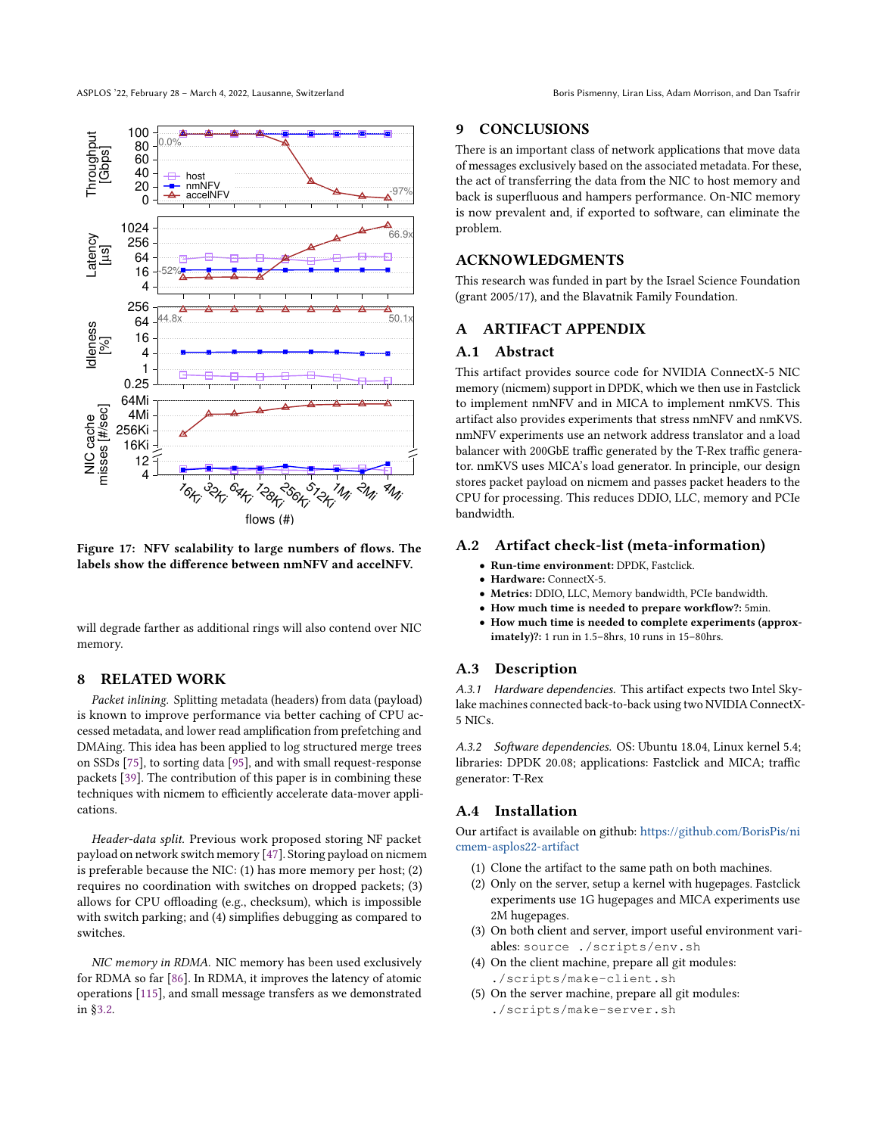<span id="page-13-0"></span>

Figure 17: NFV scalability to large numbers of flows. The labels show the difference between nmNFV and accelNFV.

will degrade farther as additional rings will also contend over NIC memory.

# 8 RELATED WORK

Packet inlining. Splitting metadata (headers) from data (payload) is known to improve performance via better caching of CPU accessed metadata, and lower read amplification from prefetching and DMAing. This idea has been applied to log structured merge trees on SSDs [\[75\]](#page-15-38), to sorting data [\[95\]](#page-16-37), and with small request-response packets [\[39\]](#page-15-39). The contribution of this paper is in combining these techniques with nicmem to efficiently accelerate data-mover applications.

Header-data split. Previous work proposed storing NF packet payload on network switch memory [\[47\]](#page-15-40). Storing payload on nicmem is preferable because the NIC: (1) has more memory per host; (2) requires no coordination with switches on dropped packets; (3) allows for CPU offloading (e.g., checksum), which is impossible with switch parking; and (4) simplifies debugging as compared to switches.

NIC memory in RDMA. NIC memory has been used exclusively for RDMA so far [\[86\]](#page-16-38). In RDMA, it improves the latency of atomic operations [\[115\]](#page-16-39), and small message transfers as we demonstrated in §[3.2.](#page-2-2)

# 9 CONCLUSIONS

There is an important class of network applications that move data of messages exclusively based on the associated metadata. For these, the act of transferring the data from the NIC to host memory and back is superfluous and hampers performance. On-NIC memory is now prevalent and, if exported to software, can eliminate the problem.

# ACKNOWLEDGMENTS

This research was funded in part by the Israel Science Foundation (grant 2005/17), and the Blavatnik Family Foundation.

# A ARTIFACT APPENDIX

# A.1 Abstract

This artifact provides source code for NVIDIA ConnectX-5 NIC memory (nicmem) support in DPDK, which we then use in Fastclick to implement nmNFV and in MICA to implement nmKVS. This artifact also provides experiments that stress nmNFV and nmKVS. nmNFV experiments use an network address translator and a load balancer with 200GbE traffic generated by the T-Rex traffic generator. nmKVS uses MICA's load generator. In principle, our design stores packet payload on nicmem and passes packet headers to the CPU for processing. This reduces DDIO, LLC, memory and PCIe bandwidth.

# A.2 Artifact check-list (meta-information)

- Run-time environment: DPDK, Fastclick.
- Hardware: ConnectX-5.
- Metrics: DDIO, LLC, Memory bandwidth, PCIe bandwidth.
- How much time is needed to prepare workflow?: 5min.
- How much time is needed to complete experiments (approximately)?: 1 run in 1.5–8hrs, 10 runs in 15–80hrs.

### A.3 Description

A.3.1 Hardware dependencies. This artifact expects two Intel Skylake machines connected back-to-back using two NVIDIA ConnectX-5 NICs.

A.3.2 Software dependencies. OS: Ubuntu 18.04, Linux kernel 5.4; libraries: DPDK 20.08; applications: Fastclick and MICA; traffic generator: T-Rex

# A.4 Installation

Our artifact is available on github: [https://github.com/BorisPis/ni](https://github.com/BorisPis/nicmem-asplos22-artifact) [cmem-asplos22-artifact](https://github.com/BorisPis/nicmem-asplos22-artifact)

- (1) Clone the artifact to the same path on both machines.
- (2) Only on the server, setup a kernel with hugepages. Fastclick experiments use 1G hugepages and MICA experiments use 2M hugepages.
- (3) On both client and server, import useful environment variables: source ./scripts/env.sh
- (4) On the client machine, prepare all git modules: ./scripts/make-client.sh
- (5) On the server machine, prepare all git modules: ./scripts/make-server.sh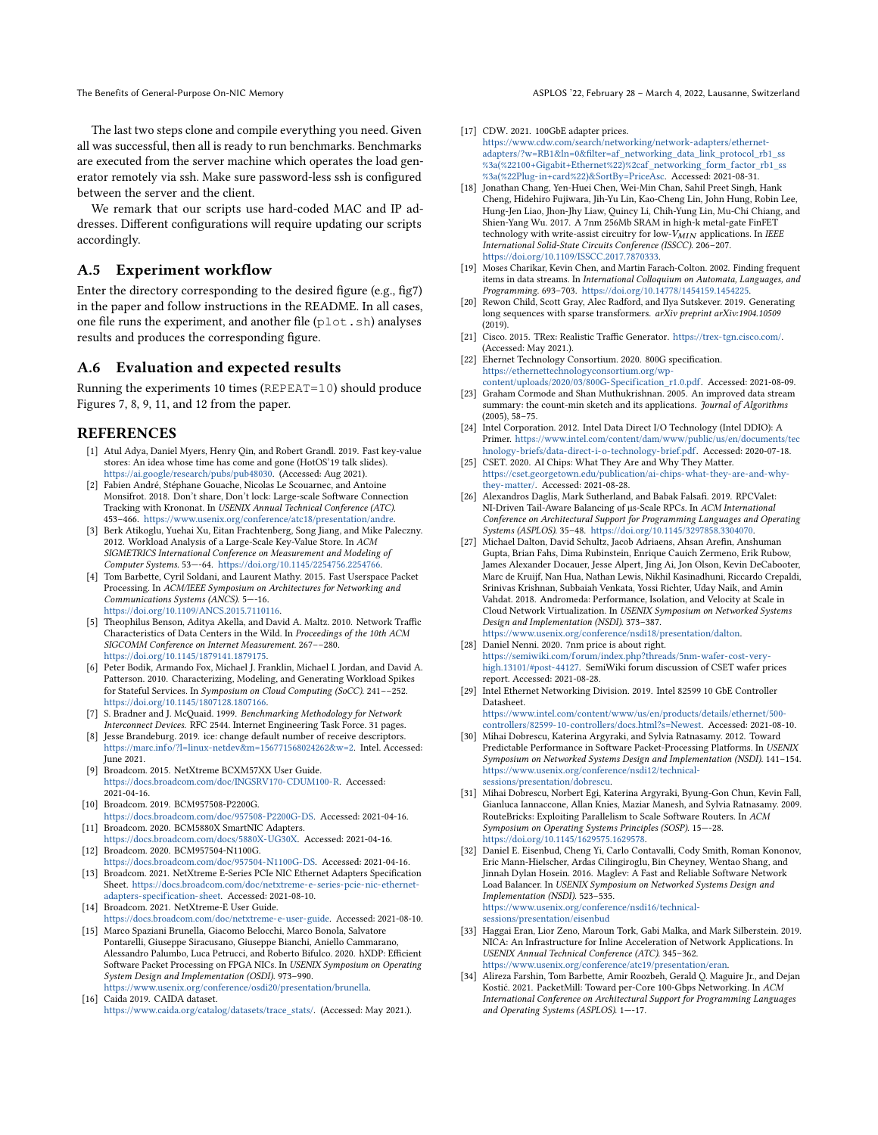The last two steps clone and compile everything you need. Given all was successful, then all is ready to run benchmarks. Benchmarks are executed from the server machine which operates the load generator remotely via ssh. Make sure password-less ssh is configured between the server and the client.

We remark that our scripts use hard-coded MAC and IP addresses. Different configurations will require updating our scripts accordingly.

# A.5 Experiment workflow

Enter the directory corresponding to the desired figure (e.g., fig7) in the paper and follow instructions in the README. In all cases, one file runs the experiment, and another file (plot.sh) analyses results and produces the corresponding figure.

### A.6 Evaluation and expected results

Running the experiments 10 times (REPEAT=10) should produce Figures 7, 8, 9, 11, and 12 from the paper.

### REFERENCES

- <span id="page-14-31"></span>[1] Atul Adya, Daniel Myers, Henry Qin, and Robert Grandl. 2019. Fast key-value stores: An idea whose time has come and gone (HotOS'19 talk slides). [https://ai.google/research/pubs/pub48030.](https://ai.google/research/pubs/pub48030) (Accessed: Aug 2021).
- <span id="page-14-16"></span>[2] Fabien André, Stéphane Gouache, Nicolas Le Scouarnec, and Antoine Monsifrot. 2018. Don't share, Don't lock: Large-scale Software Connection Tracking with Krononat. In USENIX Annual Technical Conference (ATC). 453–466. [https://www.usenix.org/conference/atc18/presentation/andre.](https://www.usenix.org/conference/atc18/presentation/andre)
- <span id="page-14-14"></span>[3] Berk Atikoglu, Yuehai Xu, Eitan Frachtenberg, Song Jiang, and Mike Paleczny. 2012. Workload Analysis of a Large-Scale Key-Value Store. In ACM SIGMETRICS International Conference on Measurement and Modeling of Computer Systems. 53—-64. [https://doi.org/10.1145/2254756.2254766.](https://doi.org/10.1145/2254756.2254766)
- <span id="page-14-8"></span>[4] Tom Barbette, Cyril Soldani, and Laurent Mathy. 2015. Fast Userspace Packet Processing. In ACM/IEEE Symposium on Architectures for Networking and Communications Systems (ANCS). 5—-16. [https://doi.org/10.1109/ANCS.2015.7110116.](https://doi.org/10.1109/ANCS.2015.7110116)
- <span id="page-14-29"></span>[5] Theophilus Benson, Aditya Akella, and David A. Maltz. 2010. Network Traffic Characteristics of Data Centers in the Wild. In Proceedings of the 10th ACM SIGCOMM Conference on Internet Measurement. 267––280. [https://doi.org/10.1145/1879141.1879175.](https://doi.org/10.1145/1879141.1879175)
- <span id="page-14-15"></span>[6] Peter Bodik, Armando Fox, Michael J. Franklin, Michael I. Jordan, and David A. Patterson. 2010. Characterizing, Modeling, and Generating Workload Spikes for Stateful Services. In Symposium on Cloud Computing (SoCC). 241––252. [https://doi.org/10.1145/1807128.1807166.](https://doi.org/10.1145/1807128.1807166)
- <span id="page-14-23"></span>[7] S. Bradner and J. McQuaid. 1999. Benchmarking Methodology for Network Interconnect Devices. RFC 2544. Internet Engineering Task Force. 31 pages.
- <span id="page-14-24"></span>[8] Jesse Brandeburg. 2019. ice: change default number of receive descriptors. [https://marc.info/?l=linux-netdev&m=156771568024262&w=2.](https://marc.info/?l=linux-netdev&m=156771568024262&w=2) Intel. Accessed: June 2021.
- <span id="page-14-11"></span>[9] Broadcom. 2015. NetXtreme BCXM57XX User Guide. [https://docs.broadcom.com/doc/INGSRV170-CDUM100-R.](https://docs.broadcom.com/doc/INGSRV170-CDUM100-R) Accessed: 2021-04-16.
- <span id="page-14-2"></span>[10] Broadcom. 2019. BCM957508-P2200G. [https://docs.broadcom.com/doc/957508-P2200G-DS.](https://docs.broadcom.com/doc/957508-P2200G-DS) Accessed: 2021-04-16. [11] Broadcom. 2020. BCM5880X SmartNIC Adapters.
- <span id="page-14-10"></span><span id="page-14-0"></span>[https://docs.broadcom.com/docs/5880X-UG30X.](https://docs.broadcom.com/docs/5880X-UG30X) Accessed: 2021-04-16. [12] Broadcom. 2020. BCM957504-N1100G.
- [https://docs.broadcom.com/doc/957504-N1100G-DS.](https://docs.broadcom.com/doc/957504-N1100G-DS) Accessed: 2021-04-16.
- <span id="page-14-1"></span>[13] Broadcom. 2021. NetXtreme E-Series PCIe NIC Ethernet Adapters Specification Sheet. [https://docs.broadcom.com/doc/netxtreme-e-series-pcie-nic-ethernet](https://docs.broadcom.com/doc/netxtreme-e-series-pcie-nic-ethernet-adapters-specification-sheet)[adapters-specification-sheet.](https://docs.broadcom.com/doc/netxtreme-e-series-pcie-nic-ethernet-adapters-specification-sheet) Accessed: 2021-08-10. [14] Broadcom. 2021. NetXtreme-E User Guide.
- <span id="page-14-12"></span>[https://docs.broadcom.com/doc/netxtreme-e-user-guide.](https://docs.broadcom.com/doc/netxtreme-e-user-guide) Accessed: 2021-08-10. [15] Marco Spaziani Brunella, Giacomo Belocchi, Marco Bonola, Salvatore
- <span id="page-14-7"></span>Pontarelli, Giuseppe Siracusano, Giuseppe Bianchi, Aniello Cammarano, Alessandro Palumbo, Luca Petrucci, and Roberto Bifulco. 2020. hXDP: Efficient Software Packet Processing on FPGA NICs. In USENIX Symposium on Operating System Design and Implementation (OSDI). 973–990. [https://www.usenix.org/conference/osdi20/presentation/brunella.](https://www.usenix.org/conference/osdi20/presentation/brunella)
- <span id="page-14-30"></span>[16] Caida 2019. CAIDA dataset. [https://www.caida.org/catalog/datasets/trace\\_stats/.](https://www.caida.org/catalog/datasets/trace_stats/) (Accessed: May 2021.).
- <span id="page-14-28"></span>[17] CDW. 2021. 100GbE adapter prices. [https://www.cdw.com/search/networking/network-adapters/ethernet](https://www.cdw.com/search/networking/network-adapters/ethernet-adapters/?w=RB1&ln=0&filter=af_networking_data_link_protocol_rb1_ss%3a(%22100+Gigabit+Ethernet%22)%2caf_networking_form_factor_rb1_ss%3a(%22Plug-in+card%22)&SortBy=PriceAsc)[adapters/?w=RB1&ln=0&filter=af\\_networking\\_data\\_link\\_protocol\\_rb1\\_ss](https://www.cdw.com/search/networking/network-adapters/ethernet-adapters/?w=RB1&ln=0&filter=af_networking_data_link_protocol_rb1_ss%3a(%22100+Gigabit+Ethernet%22)%2caf_networking_form_factor_rb1_ss%3a(%22Plug-in+card%22)&SortBy=PriceAsc) [%3a\(%22100+Gigabit+Ethernet%22\)%2caf\\_networking\\_form\\_factor\\_rb1\\_ss](https://www.cdw.com/search/networking/network-adapters/ethernet-adapters/?w=RB1&ln=0&filter=af_networking_data_link_protocol_rb1_ss%3a(%22100+Gigabit+Ethernet%22)%2caf_networking_form_factor_rb1_ss%3a(%22Plug-in+card%22)&SortBy=PriceAsc) [%3a\(%22Plug-in+card%22\)&SortBy=PriceAsc.](https://www.cdw.com/search/networking/network-adapters/ethernet-adapters/?w=RB1&ln=0&filter=af_networking_data_link_protocol_rb1_ss%3a(%22100+Gigabit+Ethernet%22)%2caf_networking_form_factor_rb1_ss%3a(%22Plug-in+card%22)&SortBy=PriceAsc) Accessed: 2021-08-31.
- <span id="page-14-25"></span>[18] Jonathan Chang, Yen-Huei Chen, Wei-Min Chan, Sahil Preet Singh, Hank Cheng, Hidehiro Fujiwara, Jih-Yu Lin, Kao-Cheng Lin, John Hung, Robin Lee, Hung-Jen Liao, Jhon-Jhy Liaw, Quincy Li, Chih-Yung Lin, Mu-Chi Chiang, and Shien-Yang Wu. 2017. A 7nm 256Mb SRAM in high-k metal-gate FinFET technology with write-assist circuitry for low- $V_{MIN}$  applications. In IEEE International Solid-State Circuits Conference (ISSCC). 206–207. [https://doi.org/10.1109/ISSCC.2017.7870333.](https://doi.org/10.1109/ISSCC.2017.7870333)
- <span id="page-14-32"></span>[19] Moses Charikar, Kevin Chen, and Martin Farach-Colton. 2002. Finding frequent items in data streams. In International Colloquium on Automata, Languages, and Programming. 693–703. [https://doi.org/10.14778/1454159.1454225.](https://doi.org/10.14778/1454159.1454225)
- <span id="page-14-20"></span>[20] Rewon Child, Scott Gray, Alec Radford, and Ilya Sutskever. 2019. Generating long sequences with sparse transformers. arXiv preprint arXiv:1904.10509 (2019).
- <span id="page-14-19"></span>[21] Cisco. 2015. TRex: Realistic Traffic Generator. [https://trex-tgn.cisco.com/.](https://trex-tgn.cisco.com/) (Accessed: May 2021.).
- <span id="page-14-3"></span>[22] Ehernet Technology Consortium. 2020. 800G specification. [https://ethernettechnologyconsortium.org/wp](https://ethernettechnologyconsortium.org/wp-content/uploads/2020/03/800G-Specification_r1.0.pdf)[content/uploads/2020/03/800G-Specification\\_r1.0.pdf.](https://ethernettechnologyconsortium.org/wp-content/uploads/2020/03/800G-Specification_r1.0.pdf) Accessed: 2021-08-09.
- <span id="page-14-33"></span>[23] Graham Cormode and Shan Muthukrishnan. 2005. An improved data stream summary: the count-min sketch and its applications. Journal of Algorithms (2005), 58–75.
- <span id="page-14-22"></span>[24] Intel Corporation. 2012. Intel Data Direct I/O Technology (Intel DDIO): A Primer. [https://www.intel.com/content/dam/www/public/us/en/documents/tec](https://www.intel.com/content/dam/www/public/us/en/documents/technology-briefs/data-direct-i-o-technology-brief.pdf) [hnology-briefs/data-direct-i-o-technology-brief.pdf.](https://www.intel.com/content/dam/www/public/us/en/documents/technology-briefs/data-direct-i-o-technology-brief.pdf) Accessed: 2020-07-18.
- <span id="page-14-26"></span>[25] CSET. 2020. AI Chips: What They Are and Why They Matter. [https://cset.georgetown.edu/publication/ai-chips-what-they-are-and-why](https://cset.georgetown.edu/publication/ai-chips-what-they-are-and-why-they-matter/)[they-matter/.](https://cset.georgetown.edu/publication/ai-chips-what-they-are-and-why-they-matter/) Accessed: 2021-08-28.
- <span id="page-14-5"></span>[26] Alexandros Daglis, Mark Sutherland, and Babak Falsafi. 2019. RPCValet: NI-Driven Tail-Aware Balancing of µs-Scale RPCs. In ACM International Conference on Architectural Support for Programming Languages and Operating Systems (ASPLOS). 35–48. [https://doi.org/10.1145/3297858.3304070.](https://doi.org/10.1145/3297858.3304070)
- <span id="page-14-17"></span>[27] Michael Dalton, David Schultz, Jacob Adriaens, Ahsan Arefin, Anshuman Gupta, Brian Fahs, Dima Rubinstein, Enrique Cauich Zermeno, Erik Rubow, James Alexander Docauer, Jesse Alpert, Jing Ai, Jon Olson, Kevin DeCabooter, Marc de Kruijf, Nan Hua, Nathan Lewis, Nikhil Kasinadhuni, Riccardo Crepaldi, Srinivas Krishnan, Subbaiah Venkata, Yossi Richter, Uday Naik, and Amin Vahdat. 2018. Andromeda: Performance, Isolation, and Velocity at Scale in Cloud Network Virtualization. In USENIX Symposium on Networked Systems Design and Implementation (NSDI). 373–387. [https://www.usenix.org/conference/nsdi18/presentation/dalton.](https://www.usenix.org/conference/nsdi18/presentation/dalton)
- <span id="page-14-27"></span>[28] Daniel Nenni. 2020. 7nm price is about right. [https://semiwiki.com/forum/index.php?threads/5nm-wafer-cost-very](https://semiwiki.com/forum/index.php?threads/5nm-wafer-cost-very-high.13101/#post-44127)[high.13101/#post-44127.](https://semiwiki.com/forum/index.php?threads/5nm-wafer-cost-very-high.13101/#post-44127) SemiWiki forum discussion of CSET wafer prices report. Accessed: 2021-08-28.
- <span id="page-14-13"></span>[29] Intel Ethernet Networking Division. 2019. Intel 82599 10 GbE Controller Datasheet.

[https://www.intel.com/content/www/us/en/products/details/ethernet/500](https://www.intel.com/content/www/us/en/products/details/ethernet/500-controllers/82599-10-controllers/docs.html?s=Newest) [controllers/82599-10-controllers/docs.html?s=Newest.](https://www.intel.com/content/www/us/en/products/details/ethernet/500-controllers/82599-10-controllers/docs.html?s=Newest) Accessed: 2021-08-10.

- <span id="page-14-21"></span>[30] Mihai Dobrescu, Katerina Argyraki, and Sylvia Ratnasamy. 2012. Toward Predictable Performance in Software Packet-Processing Platforms. In USENIX Symposium on Networked Systems Design and Implementation (NSDI). 141–154. [https://www.usenix.org/conference/nsdi12/technical](https://www.usenix.org/conference/nsdi12/technical-sessions/presentation/dobrescu)[sessions/presentation/dobrescu.](https://www.usenix.org/conference/nsdi12/technical-sessions/presentation/dobrescu)
- <span id="page-14-18"></span>[31] Mihai Dobrescu, Norbert Egi, Katerina Argyraki, Byung-Gon Chun, Kevin Fall, Gianluca Iannaccone, Allan Knies, Maziar Manesh, and Sylvia Ratnasamy. 2009. RouteBricks: Exploiting Parallelism to Scale Software Routers. In ACM Symposium on Operating Systems Principles (SOSP). 15—-28. [https://doi.org/10.1145/1629575.1629578.](https://doi.org/10.1145/1629575.1629578)
- <span id="page-14-9"></span>[32] Daniel E. Eisenbud, Cheng Yi, Carlo Contavalli, Cody Smith, Roman Kononov, Eric Mann-Hielscher, Ardas Cilingiroglu, Bin Cheyney, Wentao Shang, and Jinnah Dylan Hosein. 2016. Maglev: A Fast and Reliable Software Network Load Balancer. In USENIX Symposium on Networked Systems Design and Implementation (NSDI). 523–535. [https://www.usenix.org/conference/nsdi16/technical](https://www.usenix.org/conference/nsdi16/technical-sessions/presentation/eisenbud)[sessions/presentation/eisenbud](https://www.usenix.org/conference/nsdi16/technical-sessions/presentation/eisenbud)
- <span id="page-14-6"></span>[33] Haggai Eran, Lior Zeno, Maroun Tork, Gabi Malka, and Mark Silberstein. 2019. NICA: An Infrastructure for Inline Acceleration of Network Applications. In USENIX Annual Technical Conference (ATC). 345–362. [https://www.usenix.org/conference/atc19/presentation/eran.](https://www.usenix.org/conference/atc19/presentation/eran)
- <span id="page-14-4"></span>[34] Alireza Farshin, Tom Barbette, Amir Roozbeh, Gerald Q. Maguire Jr., and Dejan Kostić. 2021. PacketMill: Toward per-Core 100-Gbps Networking. In ACM International Conference on Architectural Support for Programming Languages and Operating Systems (ASPLOS). 1—-17.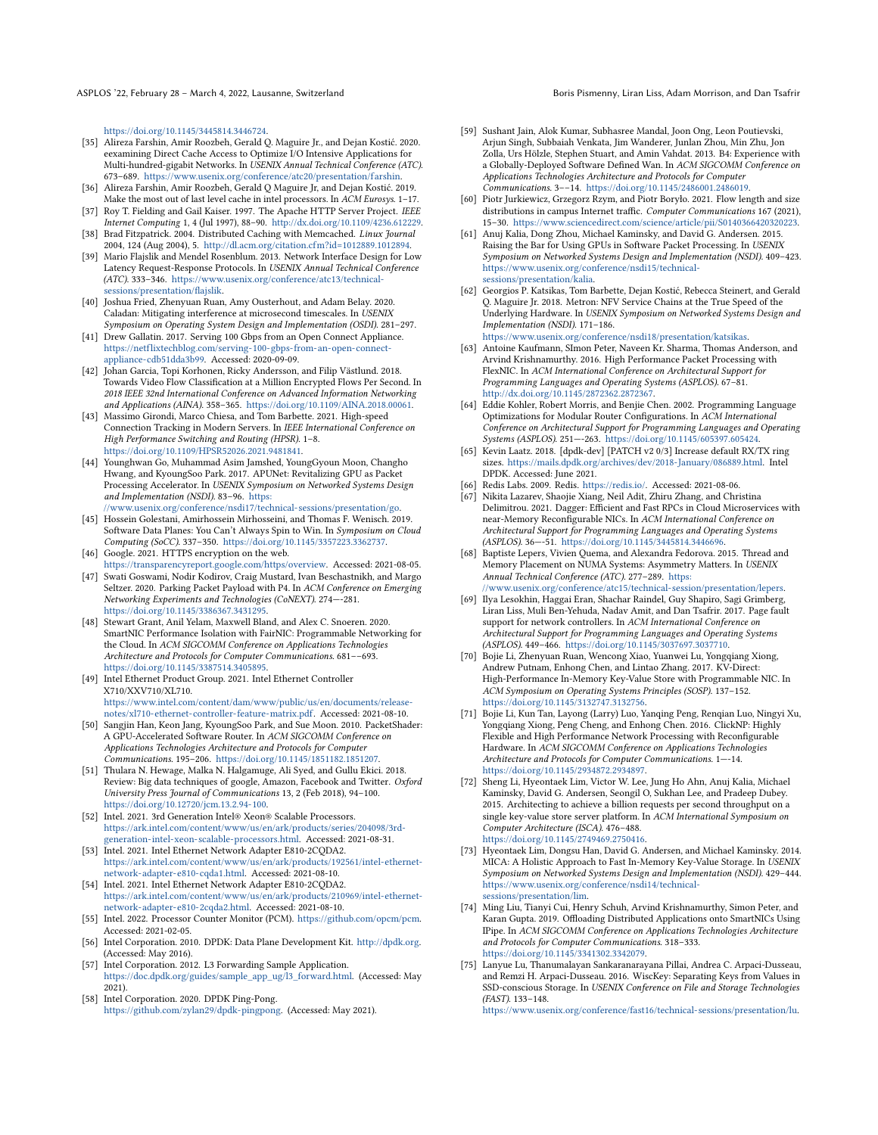ASPLOS '22, February 28 - March 4, 2022, Lausanne, Switzerland Born Borns Pismenny, Liran Liss, Adam Morrison, and Dan Tsafrir

[https://doi.org/10.1145/3445814.3446724.](https://doi.org/10.1145/3445814.3446724)

- <span id="page-15-27"></span>[35] Alireza Farshin, Amir Roozbeh, Gerald Q. Maguire Jr., and Dejan Kostić. 2020. eexamining Direct Cache Access to Optimize I/O Intensive Applications for Multi-hundred-gigabit Networks. In USENIX Annual Technical Conference (ATC). 673–689. [https://www.usenix.org/conference/atc20/presentation/farshin.](https://www.usenix.org/conference/atc20/presentation/farshin)
- <span id="page-15-29"></span>[36] Alireza Farshin, Amir Roozbeh, Gerald Q Maguire Jr, and Dejan Kostić. 2019. Make the most out of last level cache in intel processors. In ACM Eurosys. 1–17.
- <span id="page-15-24"></span>[37] Roy T. Fielding and Gail Kaiser. 1997. The Apache HTTP Server Project. IEEE Internet Computing 1, 4 (Jul 1997), 88–90. [http://dx.doi.org/10.1109/4236.612229.](http://dx.doi.org/10.1109/4236.612229) [38] Brad Fitzpatrick. 2004. Distributed Caching with Memcached. Linux Journal
- <span id="page-15-15"></span>2004, 124 (Aug 2004), 5. [http://dl.acm.org/citation.cfm?id=1012889.1012894.](http://dl.acm.org/citation.cfm?id=1012889.1012894)
- <span id="page-15-39"></span>[39] Mario Flajslik and Mendel Rosenblum. 2013. Network Interface Design for Low Latency Request-Response Protocols. In USENIX Annual Technical Conference (ATC). 333–346. [https://www.usenix.org/conference/atc13/technical](https://www.usenix.org/conference/atc13/technical-sessions/presentation/flajslik)[sessions/presentation/flajslik.](https://www.usenix.org/conference/atc13/technical-sessions/presentation/flajslik)
- <span id="page-15-30"></span>[40] Joshua Fried, Zhenyuan Ruan, Amy Ousterhout, and Adam Belay. 2020. Caladan: Mitigating interference at microsecond timescales. In USENIX Symposium on Operating System Design and Implementation (OSDI). 281–297.
- <span id="page-15-6"></span>[41] Drew Gallatin. 2017. Serving 100 Gbps from an Open Connect Appliance. [https://netflixtechblog.com/serving-100-gbps-from-an-open-connect](https://netflixtechblog.com/serving-100-gbps-from-an-open-connect-appliance-cdb51dda3b99)[appliance-cdb51dda3b99.](https://netflixtechblog.com/serving-100-gbps-from-an-open-connect-appliance-cdb51dda3b99) Accessed: 2020-09-09.
- <span id="page-15-35"></span>[42] Johan Garcia, Topi Korhonen, Ricky Andersson, and Filip Västlund. 2018. Towards Video Flow Classification at a Million Encrypted Flows Per Second. In 2018 IEEE 32nd International Conference on Advanced Information Networking and Applications (AINA). 358–365. [https://doi.org/10.1109/AINA.2018.00061.](https://doi.org/10.1109/AINA.2018.00061)
- <span id="page-15-32"></span>[43] Massimo Girondi, Marco Chiesa, and Tom Barbette. 2021. High-speed Connection Tracking in Modern Servers. In IEEE International Conference on High Performance Switching and Routing (HPSR). 1–8. [https://doi.org/10.1109/HPSR52026.2021.9481841.](https://doi.org/10.1109/HPSR52026.2021.9481841)
- <span id="page-15-2"></span>[44] Younghwan Go, Muhammad Asim Jamshed, YoungGyoun Moon, Changho Hwang, and KyoungSoo Park. 2017. APUNet: Revitalizing GPU as Packet Processing Accelerator. In USENIX Symposium on Networked Systems Design and Implementation (NSDI). 83–96. [https:](https://www.usenix.org/conference/nsdi17/technical-sessions/presentation/go) [//www.usenix.org/conference/nsdi17/technical-sessions/presentation/go.](https://www.usenix.org/conference/nsdi17/technical-sessions/presentation/go)
- <span id="page-15-3"></span>[45] Hossein Golestani, Amirhossein Mirhosseini, and Thomas F. Wenisch. 2019. Software Data Planes: You Can't Always Spin to Win. In Symposium on Cloud Computing (SoCC). 337–350. [https://doi.org/10.1145/3357223.3362737.](https://doi.org/10.1145/3357223.3362737)
- <span id="page-15-21"></span>[46] Google. 2021. HTTPS encryption on the web.
- <span id="page-15-40"></span>[https://transparencyreport.google.com/https/overview.](https://transparencyreport.google.com/https/overview) Accessed: 2021-08-05. [47] Swati Goswami, Nodir Kodirov, Craig Mustard, Ivan Beschastnikh, and Margo Seltzer. 2020. Parking Packet Payload with P4. In ACM Conference on Emerging Networking Experiments and Technologies (CoNEXT). 274—-281. [https://doi.org/10.1145/3386367.3431295.](https://doi.org/10.1145/3386367.3431295)
- <span id="page-15-23"></span>[48] Stewart Grant, Anil Yelam, Maxwell Bland, and Alex C. Snoeren. 2020. SmartNIC Performance Isolation with FairNIC: Programmable Networking for the Cloud. In ACM SIGCOMM Conference on Applications Technologies Architecture and Protocols for Computer Communications. 681––693. [https://doi.org/10.1145/3387514.3405895.](https://doi.org/10.1145/3387514.3405895)
- <span id="page-15-18"></span>[49] Intel Ethernet Product Group. 2021. Intel Ethernet Controller X710/XXV710/XL710. [https://www.intel.com/content/dam/www/public/us/en/documents/release-](https://www.intel.com/content/dam/www/public/us/en/documents/release-notes/xl710-ethernet-controller-feature-matrix.pdf)
- <span id="page-15-4"></span>[notes/xl710-ethernet-controller-feature-matrix.pdf.](https://www.intel.com/content/dam/www/public/us/en/documents/release-notes/xl710-ethernet-controller-feature-matrix.pdf) Accessed: 2021-08-10. [50] Sangjin Han, Keon Jang, KyoungSoo Park, and Sue Moon. 2010. PacketShader: A GPU-Accelerated Software Router. In ACM SIGCOMM Conference on Applications Technologies Architecture and Protocols for Computer Communications. 195–206. [https://doi.org/10.1145/1851182.1851207.](https://doi.org/10.1145/1851182.1851207)
- <span id="page-15-22"></span>[51] Thulara N. Hewage, Malka N. Halgamuge, Ali Syed, and Gullu Ekici. 2018. Review: Big data techniques of google, Amazon, Facebook and Twitter. Oxford University Press Journal of Communications 13, 2 (Feb 2018), 94–100. [https://doi.org/10.12720/jcm.13.2.94-100.](https://doi.org/10.12720/jcm.13.2.94-100)
- <span id="page-15-33"></span>[52] Intel. 2021. 3rd Generation Intel® Xeon® Scalable Processors. [https://ark.intel.com/content/www/us/en/ark/products/series/204098/3rd](https://ark.intel.com/content/www/us/en/ark/products/series/204098/3rd-generation-intel-xeon-scalable-processors.html)[generation-intel-xeon-scalable-processors.html.](https://ark.intel.com/content/www/us/en/ark/products/series/204098/3rd-generation-intel-xeon-scalable-processors.html) Accessed: 2021-08-31.
- <span id="page-15-0"></span>[53] Intel. 2021. Intel Ethernet Network Adapter E810-2CQDA2. [https://ark.intel.com/content/www/us/en/ark/products/192561/intel-ethernet](https://ark.intel.com/content/www/us/en/ark/products/192561/intel-ethernet-network-adapter-e810-cqda1.html)[network-adapter-e810-cqda1.html.](https://ark.intel.com/content/www/us/en/ark/products/192561/intel-ethernet-network-adapter-e810-cqda1.html) Accessed: 2021-08-10.
- <span id="page-15-1"></span>[54] Intel. 2021. Intel Ethernet Network Adapter E810-2CQDA2. [https://ark.intel.com/content/www/us/en/ark/products/210969/intel-ethernet](https://ark.intel.com/content/www/us/en/ark/products/210969/intel-ethernet-network-adapter-e810-2cqda2.html)[network-adapter-e810-2cqda2.html.](https://ark.intel.com/content/www/us/en/ark/products/210969/intel-ethernet-network-adapter-e810-2cqda2.html) Accessed: 2021-08-10.
- <span id="page-15-26"></span>[55] Intel. 2022. Processor Counter Monitor (PCM). [https://github.com/opcm/pcm.](https://github.com/opcm/pcm) Accessed: 2021-02-05.
- <span id="page-15-11"></span>[56] Intel Corporation. 2010. DPDK: Data Plane Development Kit. [http://dpdk.org.](http://dpdk.org) (Accessed: May 2016).
- <span id="page-15-25"></span>[57] Intel Corporation. 2012. L3 Forwarding Sample Application. [https://doc.dpdk.org/guides/sample\\_app\\_ug/l3\\_forward.html.](https://doc.dpdk.org/guides/sample_app_ug/l3_forward.html) (Accessed: May 2021).
- <span id="page-15-19"></span>[58] Intel Corporation. 2020. DPDK Ping-Pong. [https://github.com/zylan29/dpdk-pingpong.](https://github.com/zylan29/dpdk-pingpong) (Accessed: May 2021).
- <span id="page-15-20"></span>[59] Sushant Jain, Alok Kumar, Subhasree Mandal, Joon Ong, Leon Poutievski, Arjun Singh, Subbaiah Venkata, Jim Wanderer, Junlan Zhou, Min Zhu, Jon Zolla, Urs Hölzle, Stephen Stuart, and Amin Vahdat. 2013. B4: Experience with a Globally-Deployed Software Defined Wan. In ACM SIGCOMM Conference on Applications Technologies Architecture and Protocols for Computer Communications. 3––14. [https://doi.org/10.1145/2486001.2486019.](https://doi.org/10.1145/2486001.2486019)
- <span id="page-15-36"></span>[60] Piotr Jurkiewicz, Grzegorz Rzym, and Piotr Boryło. 2021. Flow length and size distributions in campus Internet traffic. Computer Communications 167 (2021), 15–30. [https://www.sciencedirect.com/science/article/pii/S0140366420320223.](https://www.sciencedirect.com/science/article/pii/S0140366420320223)
- <span id="page-15-12"></span>[61] Anuj Kalia, Dong Zhou, Michael Kaminsky, and David G. Andersen. 2015. Raising the Bar for Using GPUs in Software Packet Processing. In USENIX Symposium on Networked Systems Design and Implementation (NSDI). 409–423. [https://www.usenix.org/conference/nsdi15/technical](https://www.usenix.org/conference/nsdi15/technical-sessions/presentation/kalia)[sessions/presentation/kalia.](https://www.usenix.org/conference/nsdi15/technical-sessions/presentation/kalia)
- <span id="page-15-28"></span>[62] Georgios P. Katsikas, Tom Barbette, Dejan Kostić, Rebecca Steinert, and Gerald Q. Maguire Jr. 2018. Metron: NFV Service Chains at the True Speed of the Underlying Hardware. In USENIX Symposium on Networked Systems Design and Implementation (NSDI). 171–186. [https://www.usenix.org/conference/nsdi18/presentation/katsikas.](https://www.usenix.org/conference/nsdi18/presentation/katsikas)
- <span id="page-15-8"></span>[63] Antoine Kaufmann, SImon Peter, Naveen Kr. Sharma, Thomas Anderson, and Arvind Krishnamurthy. 2016. High Performance Packet Processing with FlexNIC. In ACM International Conference on Architectural Support for Programming Languages and Operating Systems (ASPLOS). 67–81. [http://dx.doi.org/10.1145/2872362.2872367.](http://dx.doi.org/10.1145/2872362.2872367)
- <span id="page-15-13"></span>[64] Eddie Kohler, Robert Morris, and Benjie Chen. 2002. Programming Language Optimizations for Modular Router Configurations. In ACM International Conference on Architectural Support for Programming Languages and Operating Systems (ASPLOS). 251—-263. [https://doi.org/10.1145/605397.605424.](https://doi.org/10.1145/605397.605424)
- <span id="page-15-31"></span>[65] Kevin Laatz. 2018. [dpdk-dev] [PATCH v2 0/3] Increase default RX/TX ring sizes. [https://mails.dpdk.org/archives/dev/2018-January/086889.html.](https://mails.dpdk.org/archives/dev/2018-January/086889.html) Intel DPDK. Accessed: June 2021.
- <span id="page-15-16"></span>[66] Redis Labs. 2009. Redis. [https://redis.io/.](https://redis.io/) Accessed: 2021-08-06.
- <span id="page-15-7"></span>[67] Nikita Lazarev, Shaojie Xiang, Neil Adit, Zhiru Zhang, and Christina Delimitrou. 2021. Dagger: Efficient and Fast RPCs in Cloud Microservices with near-Memory Reconfigurable NICs. In ACM International Conference on Architectural Support for Programming Languages and Operating Systems (ASPLOS). 36—-51. [https://doi.org/10.1145/3445814.3446696.](https://doi.org/10.1145/3445814.3446696)
- <span id="page-15-5"></span>[68] Baptiste Lepers, Vivien Quema, and Alexandra Fedorova. 2015. Thread and Memory Placement on NUMA Systems: Asymmetry Matters. In USENIX Annual Technical Conference (ATC). 277–289. [https:](https://www.usenix.org/conference/atc15/technical-session/presentation/lepers) [//www.usenix.org/conference/atc15/technical-session/presentation/lepers.](https://www.usenix.org/conference/atc15/technical-session/presentation/lepers)
- <span id="page-15-34"></span>[69] Ilya Lesokhin, Haggai Eran, Shachar Raindel, Guy Shapiro, Sagi Grimberg, Liran Liss, Muli Ben-Yehuda, Nadav Amit, and Dan Tsafrir. 2017. Page fault support for network controllers. In ACM International Conference on Architectural Support for Programming Languages and Operating Systems (ASPLOS). 449–466. [https://doi.org/10.1145/3037697.3037710.](https://doi.org/10.1145/3037697.3037710)
- <span id="page-15-9"></span>[70] Bojie Li, Zhenyuan Ruan, Wencong Xiao, Yuanwei Lu, Yongqiang Xiong, Andrew Putnam, Enhong Chen, and Lintao Zhang. 2017. KV-Direct: High-Performance In-Memory Key-Value Store with Programmable NIC. In ACM Symposium on Operating Systems Principles (SOSP). 137–152. [https://doi.org/10.1145/3132747.3132756.](https://doi.org/10.1145/3132747.3132756)
- <span id="page-15-10"></span>[71] Bojie Li, Kun Tan, Layong (Larry) Luo, Yanqing Peng, Renqian Luo, Ningyi Xu, Yongqiang Xiong, Peng Cheng, and Enhong Chen. 2016. ClickNP: Highly Flexible and High Performance Network Processing with Reconfigurable Hardware. In ACM SIGCOMM Conference on Applications Technologies Architecture and Protocols for Computer Communications. 1—-14. [https://doi.org/10.1145/2934872.2934897.](https://doi.org/10.1145/2934872.2934897)
- <span id="page-15-37"></span>[72] Sheng Li, Hyeontaek Lim, Victor W. Lee, Jung Ho Ahn, Anuj Kalia, Michael Kaminsky, David G. Andersen, Seongil O, Sukhan Lee, and Pradeep Dubey. 2015. Architecting to achieve a billion requests per second throughput on a single key-value store server platform. In ACM International Symposium on Computer Architecture (ISCA). 476–488. [https://doi.org/10.1145/2749469.2750416.](https://doi.org/10.1145/2749469.2750416)
- <span id="page-15-14"></span>[73] Hyeontaek Lim, Dongsu Han, David G. Andersen, and Michael Kaminsky. 2014. MICA: A Holistic Approach to Fast In-Memory Key-Value Storage. In USENIX Symposium on Networked Systems Design and Implementation (NSDI). 429–444. [https://www.usenix.org/conference/nsdi14/technical](https://www.usenix.org/conference/nsdi14/technical-sessions/presentation/lim)[sessions/presentation/lim.](https://www.usenix.org/conference/nsdi14/technical-sessions/presentation/lim)
- <span id="page-15-17"></span>[74] Ming Liu, Tianyi Cui, Henry Schuh, Arvind Krishnamurthy, Simon Peter, and Karan Gupta. 2019. Offloading Distributed Applications onto SmartNICs Using IPipe. In ACM SIGCOMM Conference on Applications Technologies Architecture and Protocols for Computer Communications. 318–333. [https://doi.org/10.1145/3341302.3342079.](https://doi.org/10.1145/3341302.3342079)
- <span id="page-15-38"></span>[75] Lanyue Lu, Thanumalayan Sankaranarayana Pillai, Andrea C. Arpaci-Dusseau, and Remzi H. Arpaci-Dusseau. 2016. WiscKey: Separating Keys from Values in SSD-conscious Storage. In USENIX Conference on File and Storage Technologies (FAST). 133–148.

[https://www.usenix.org/conference/fast16/technical-sessions/presentation/lu.](https://www.usenix.org/conference/fast16/technical-sessions/presentation/lu)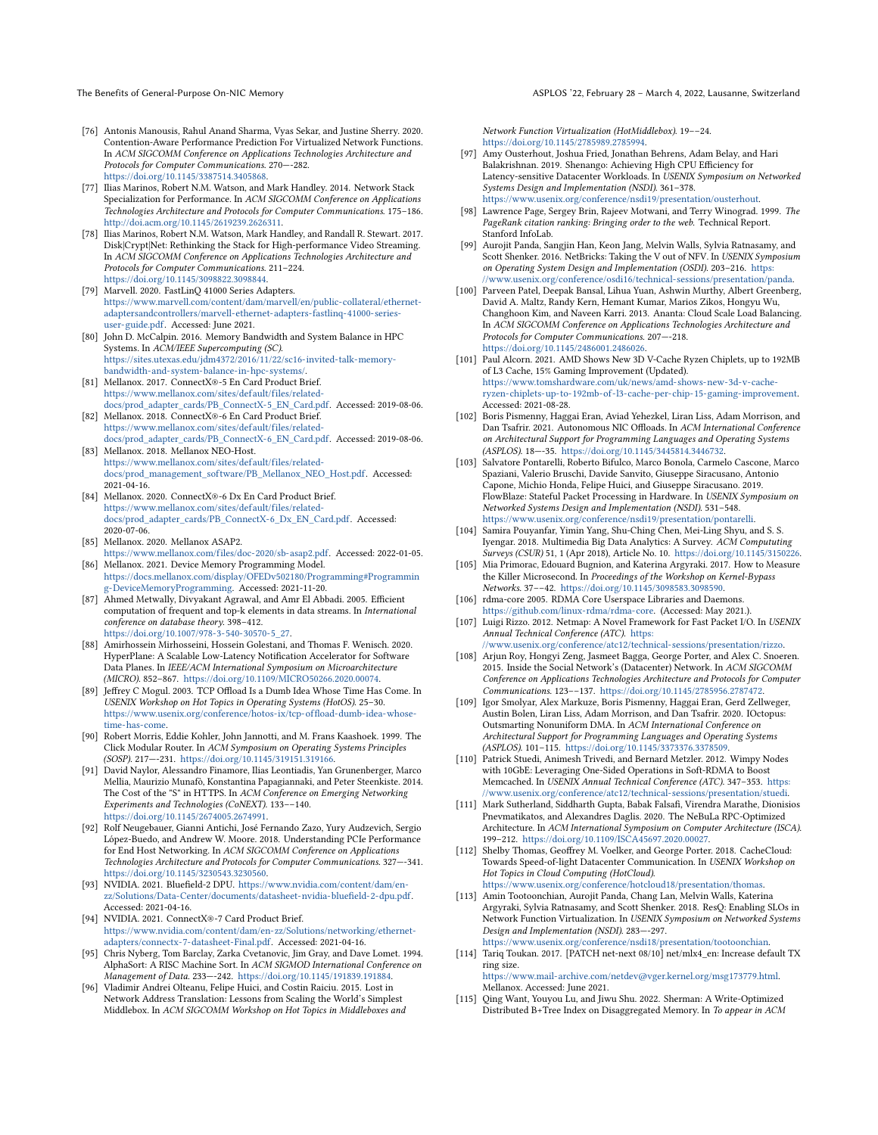- <span id="page-16-26"></span>[76] Antonis Manousis, Rahul Anand Sharma, Vyas Sekar, and Justine Sherry. 2020. Contention-Aware Performance Prediction For Virtualized Network Functions. In ACM SIGCOMM Conference on Applications Technologies Architecture and Protocols for Computer Communications. 270—-282. [https://doi.org/10.1145/3387514.3405868.](https://doi.org/10.1145/3387514.3405868)
- <span id="page-16-23"></span>[77] Ilias Marinos, Robert N.M. Watson, and Mark Handley. 2014. Network Stack Specialization for Performance. In ACM SIGCOMM Conference on Applications Technologies Architecture and Protocols for Computer Communications. 175–186. [http://doi.acm.org/10.1145/2619239.2626311.](http://doi.acm.org/10.1145/2619239.2626311)
- <span id="page-16-4"></span>[78] Ilias Marinos, Robert N.M. Watson, Mark Handley, and Randall R. Stewart. 2017. Disk|Crypt|Net: Rethinking the Stack for High-performance Video Streaming. In ACM SIGCOMM Conference on Applications Technologies Architecture and Protocols for Computer Communications. 211–224. [https://doi.org/10.1145/3098822.3098844.](https://doi.org/10.1145/3098822.3098844)
- <span id="page-16-28"></span>[79] Marvell. 2020. FastLinQ 41000 Series Adapters. [https://www.marvell.com/content/dam/marvell/en/public-collateral/ethernet](https://www.marvell.com/content/dam/marvell/en/public-collateral/ethernet-adaptersandcontrollers/marvell-ethernet-adapters-fastlinq-41000-series-user-guide.pdf)[adaptersandcontrollers/marvell-ethernet-adapters-fastlinq-41000-series](https://www.marvell.com/content/dam/marvell/en/public-collateral/ethernet-adaptersandcontrollers/marvell-ethernet-adapters-fastlinq-41000-series-user-guide.pdf)[user-guide.pdf.](https://www.marvell.com/content/dam/marvell/en/public-collateral/ethernet-adaptersandcontrollers/marvell-ethernet-adapters-fastlinq-41000-series-user-guide.pdf) Accessed: June 2021.
- <span id="page-16-5"></span>[80] John D. McCalpin. 2016. Memory Bandwidth and System Balance in HPC Systems. In ACM/IEEE Supercomputing (SC). [https://sites.utexas.edu/jdm4372/2016/11/22/sc16-invited-talk-memory](https://sites.utexas.edu/jdm4372/2016/11/22/sc16-invited-talk-memory-bandwidth-and-system-balance-in-hpc-systems/)[bandwidth-and-system-balance-in-hpc-systems/.](https://sites.utexas.edu/jdm4372/2016/11/22/sc16-invited-talk-memory-bandwidth-and-system-balance-in-hpc-systems/)
- <span id="page-16-0"></span>[81] Mellanox. 2017. ConnectX®-5 En Card Product Brief. [https://www.mellanox.com/sites/default/files/related](https://www.mellanox.com/sites/default/files/related-docs/prod_adapter_cards/PB_ConnectX-5_EN_Card.pdf)[docs/prod\\_adapter\\_cards/PB\\_ConnectX-5\\_EN\\_Card.pdf.](https://www.mellanox.com/sites/default/files/related-docs/prod_adapter_cards/PB_ConnectX-5_EN_Card.pdf) Accessed: 2019-08-06.
- <span id="page-16-1"></span>[82] Mellanox. 2018. ConnectX®-6 En Card Product Brief. [https://www.mellanox.com/sites/default/files/related-](https://www.mellanox.com/sites/default/files/related-docs/prod_adapter_cards/PB_ConnectX-6_EN_Card.pdf)
- <span id="page-16-24"></span>[docs/prod\\_adapter\\_cards/PB\\_ConnectX-6\\_EN\\_Card.pdf.](https://www.mellanox.com/sites/default/files/related-docs/prod_adapter_cards/PB_ConnectX-6_EN_Card.pdf) Accessed: 2019-08-06. [83] Mellanox. 2018. Mellanox NEO-Host.
- [https://www.mellanox.com/sites/default/files/related](https://www.mellanox.com/sites/default/files/related-docs/prod_management_software/PB_Mellanox_NEO_Host.pdf)[docs/prod\\_management\\_sof tware/PB\\_Mellanox\\_NEO\\_Host.pdf.](https://www.mellanox.com/sites/default/files/related-docs/prod_management_software/PB_Mellanox_NEO_Host.pdf) Accessed: 2021-04-16.
- <span id="page-16-18"></span>[84] Mellanox. 2020. ConnectX®-6 Dx En Card Product Brief. [https://www.mellanox.com/sites/default/files/related](https://www.mellanox.com/sites/default/files/related-docs/prod_adapter_cards/PB_ConnectX-6_Dx_EN_Card.pdf)[docs/prod\\_adapter\\_cards/PB\\_ConnectX-6\\_Dx\\_EN\\_Card.pdf.](https://www.mellanox.com/sites/default/files/related-docs/prod_adapter_cards/PB_ConnectX-6_Dx_EN_Card.pdf) Accessed: 2020-07-06.
- <span id="page-16-36"></span>[85] Mellanox. 2020. Mellanox ASAP2.
- <span id="page-16-38"></span>[https://www.mellanox.com/files/doc-2020/sb-asap2.pdf.](https://www.mellanox.com/files/doc-2020/sb-asap2.pdf) Accessed: 2022-01-05. [86] Mellanox. 2021. Device Memory Programming Model.
- [https://docs.mellanox.com/display/OFEDv502180/Programming#Programmin](https://docs.mellanox.com/display/OFEDv502180/Programming#Programming-DeviceMemoryProgramming) [g-DeviceMemoryProgramming.](https://docs.mellanox.com/display/OFEDv502180/Programming#Programming-DeviceMemoryProgramming) Accessed: 2021-11-20.
- <span id="page-16-33"></span>[87] Ahmed Metwally, Divyakant Agrawal, and Amr El Abbadi. 2005. Efficient computation of frequent and top-k elements in data streams. In International conference on database theory. 398–412. [https://doi.org/10.1007/978-3-540-30570-5\\_27.](https://doi.org/10.1007/978-3-540-30570-5_27)
- <span id="page-16-3"></span>[88] Amirhossein Mirhosseini, Hossein Golestani, and Thomas F. Wenisch. 2020. HyperPlane: A Scalable Low-Latency Notification Accelerator for Software Data Planes. In IEEE/ACM International Symposium on Microarchitecture (MICRO). 852–867. [https://doi.org/10.1109/MICRO50266.2020.00074.](https://doi.org/10.1109/MICRO50266.2020.00074)
- <span id="page-16-12"></span>[89] Jeffrey C Mogul. 2003. TCP Offload Is a Dumb Idea Whose Time Has Come. In USENIX Workshop on Hot Topics in Operating Systems (HotOS). 25–30. [https://www.usenix.org/conference/hotos-ix/tcp-offload-dumb-idea-whose](https://www.usenix.org/conference/hotos-ix/tcp-offload-dumb-idea-whose-time-has-come)[time-has-come.](https://www.usenix.org/conference/hotos-ix/tcp-offload-dumb-idea-whose-time-has-come)
- <span id="page-16-34"></span>[90] Robert Morris, Eddie Kohler, John Jannotti, and M. Frans Kaashoek. 1999. The Click Modular Router. In ACM Symposium on Operating Systems Principles (SOSP). 217—-231. [https://doi.org/10.1145/319151.319166.](https://doi.org/10.1145/319151.319166)
- <span id="page-16-21"></span>[91] David Naylor, Alessandro Finamore, Ilias Leontiadis, Yan Grunenberger, Marco Mellia, Maurizio Munafò, Konstantina Papagiannaki, and Peter Steenkiste. 2014. The Cost of the "S" in HTTPS. In ACM Conference on Emerging Networking Experiments and Technologies (CoNEXT). 133––140. [https://doi.org/10.1145/2674005.2674991.](https://doi.org/10.1145/2674005.2674991)
- <span id="page-16-8"></span>[92] Rolf Neugebauer, Gianni Antichi, José Fernando Zazo, Yury Audzevich, Sergio López-Buedo, and Andrew W. Moore. 2018. Understanding PCIe Performance for End Host Networking. In ACM SIGCOMM Conference on Applications Technologies Architecture and Protocols for Computer Communications. 327—-341. [https://doi.org/10.1145/3230543.3230560.](https://doi.org/10.1145/3230543.3230560)
- <span id="page-16-17"></span>[93] NVIDIA. 2021. Bluefield-2 DPU. [https://www.nvidia.com/content/dam/en](https://www.nvidia.com/content/dam/en-zz/Solutions/Data-Center/documents/datasheet-nvidia-bluefield-2-dpu.pdf)[zz/Solutions/Data-Center/documents/datasheet-nvidia-bluefield-2-dpu.pdf.](https://www.nvidia.com/content/dam/en-zz/Solutions/Data-Center/documents/datasheet-nvidia-bluefield-2-dpu.pdf) Accessed: 2021-04-16.
- <span id="page-16-2"></span>[94] NVIDIA. 2021. ConnectX®-7 Card Product Brief. [https://www.nvidia.com/content/dam/en-zz/Solutions/networking/ethernet](https://www.nvidia.com/content/dam/en-zz/Solutions/networking/ethernet-adapters/connectx-7-datasheet-Final.pdf)[adapters/connectx-7-datasheet-Final.pdf.](https://www.nvidia.com/content/dam/en-zz/Solutions/networking/ethernet-adapters/connectx-7-datasheet-Final.pdf) Accessed: 2021-04-16.
- <span id="page-16-37"></span>[95] Chris Nyberg, Tom Barclay, Zarka Cvetanovic, Jim Gray, and Dave Lomet. 1994. AlphaSort: A RISC Machine Sort. In ACM SIGMOD International Conference on Management of Data. 233—-242. [https://doi.org/10.1145/191839.191884.](https://doi.org/10.1145/191839.191884)
- <span id="page-16-16"></span>[96] Vladimir Andrei Olteanu, Felipe Huici, and Costin Raiciu. 2015. Lost in Network Address Translation: Lessons from Scaling the World's Simplest Middlebox. In ACM SIGCOMM Workshop on Hot Topics in Middleboxes and

Network Function Virtualization (HotMiddlebox). 19––24. [https://doi.org/10.1145/2785989.2785994.](https://doi.org/10.1145/2785989.2785994)

- <span id="page-16-27"></span>[97] Amy Ousterhout, Joshua Fried, Jonathan Behrens, Adam Belay, and Hari Balakrishnan. 2019. Shenango: Achieving High CPU Efficiency for Latency-sensitive Datacenter Workloads. In USENIX Symposium on Networked Systems Design and Implementation (NSDI). 361–378. [https://www.usenix.org/conference/nsdi19/presentation/ousterhout.](https://www.usenix.org/conference/nsdi19/presentation/ousterhout)
- <span id="page-16-25"></span>[98] Lawrence Page, Sergey Brin, Rajeev Motwani, and Terry Winograd. 1999. The PageRank citation ranking: Bringing order to the web. Technical Report. Stanford InfoLab.
- <span id="page-16-15"></span>[99] Aurojit Panda, Sangjin Han, Keon Jang, Melvin Walls, Sylvia Ratnasamy, and Scott Shenker. 2016. NetBricks: Taking the V out of NFV. In USENIX Symposium on Operating System Design and Implementation (OSDI). 203–216. [https:](https://www.usenix.org/conference/osdi16/technical-sessions/presentation/panda) [//www.usenix.org/conference/osdi16/technical-sessions/presentation/panda.](https://www.usenix.org/conference/osdi16/technical-sessions/presentation/panda)
- <span id="page-16-20"></span>[100] Parveen Patel, Deepak Bansal, Lihua Yuan, Ashwin Murthy, Albert Greenberg, David A. Maltz, Randy Kern, Hemant Kumar, Marios Zikos, Hongyu Wu, Changhoon Kim, and Naveen Karri. 2013. Ananta: Cloud Scale Load Balancing. In ACM SIGCOMM Conference on Applications Technologies Architecture and Protocols for Computer Communications. 207—-218. [https://doi.org/10.1145/2486001.2486026.](https://doi.org/10.1145/2486001.2486026)
- <span id="page-16-30"></span>[101] Paul Alcorn. 2021. AMD Shows New 3D V-Cache Ryzen Chiplets, up to 192MB of L3 Cache, 15% Gaming Improvement (Updated). [https://www.tomshardware.com/uk/news/amd-shows-new-3d-v-cache](https://www.tomshardware.com/uk/news/amd-shows-new-3d-v-cache-ryzen-chiplets-up-to-192mb-of-l3-cache-per-chip-15-gaming-improvement)[ryzen-chiplets-up-to-192mb-of -l3-cache-per-chip-15-gaming-improvement.](https://www.tomshardware.com/uk/news/amd-shows-new-3d-v-cache-ryzen-chiplets-up-to-192mb-of-l3-cache-per-chip-15-gaming-improvement) Accessed: 2021-08-28.
- <span id="page-16-13"></span>[102] Boris Pismenny, Haggai Eran, Aviad Yehezkel, Liran Liss, Adam Morrison, and Dan Tsafrir. 2021. Autonomous NIC Offloads. In ACM International Conference on Architectural Support for Programming Languages and Operating Systems (ASPLOS). 18—-35. [https://doi.org/10.1145/3445814.3446732.](https://doi.org/10.1145/3445814.3446732)
- <span id="page-16-11"></span>[103] Salvatore Pontarelli, Roberto Bifulco, Marco Bonola, Carmelo Cascone, Marco Spaziani, Valerio Bruschi, Davide Sanvito, Giuseppe Siracusano, Antonio Capone, Michio Honda, Felipe Huici, and Giuseppe Siracusano. 2019. FlowBlaze: Stateful Packet Processing in Hardware. In USENIX Symposium on Networked Systems Design and Implementation (NSDI). 531–548. [https://www.usenix.org/conference/nsdi19/presentation/pontarelli.](https://www.usenix.org/conference/nsdi19/presentation/pontarelli)
- <span id="page-16-22"></span>[104] Samira Pouyanfar, Yimin Yang, Shu-Ching Chen, Mei-Ling Shyu, and S. S. Iyengar. 2018. Multimedia Big Data Analytics: A Survey. ACM Compututing Surveys (CSUR) 51, 1 (Apr 2018), Article No. 10. [https://doi.org/10.1145/3150226.](https://doi.org/10.1145/3150226)
- <span id="page-16-35"></span>[105] Mia Primorac, Edouard Bugnion, and Katerina Argyraki. 2017. How to Measure the Killer Microsecond. In Proceedings of the Workshop on Kernel-Bypass Networks. 37––42. [https://doi.org/10.1145/3098583.3098590.](https://doi.org/10.1145/3098583.3098590)
- <span id="page-16-19"></span>[106] rdma-core 2005. RDMA Core Userspace Libraries and Daemons. [https://github.com/linux-rdma/rdma-core.](https://github.com/linux-rdma/rdma-core) (Accessed: May 2021.).
- <span id="page-16-14"></span>[107] Luigi Rizzo. 2012. Netmap: A Novel Framework for Fast Packet I/O. In USENIX Annual Technical Conference (ATC). [https:](https://www.usenix.org/conference/atc12/technical-sessions/presentation/rizzo) [//www.usenix.org/conference/atc12/technical-sessions/presentation/rizzo.](https://www.usenix.org/conference/atc12/technical-sessions/presentation/rizzo)
- <span id="page-16-31"></span>[108] Arjun Roy, Hongyi Zeng, Jasmeet Bagga, George Porter, and Alex C. Snoeren. 2015. Inside the Social Network's (Datacenter) Network. In ACM SIGCOMM Conference on Applications Technologies Architecture and Protocols for Computer Communications. 123––137. [https://doi.org/10.1145/2785956.2787472.](https://doi.org/10.1145/2785956.2787472)
- <span id="page-16-9"></span>[109] Igor Smolyar, Alex Markuze, Boris Pismenny, Haggai Eran, Gerd Zellweger, Austin Bolen, Liran Liss, Adam Morrison, and Dan Tsafrir. 2020. IOctopus: Outsmarting Nonuniform DMA. In ACM International Conference on Architectural Support for Programming Languages and Operating Systems (ASPLOS). 101–115. [https://doi.org/10.1145/3373376.3378509.](https://doi.org/10.1145/3373376.3378509)
- <span id="page-16-32"></span>[110] Patrick Stuedi, Animesh Trivedi, and Bernard Metzler. 2012. Wimpy Nodes with 10GbE: Leveraging One-Sided Operations in Soft-RDMA to Boost Memcached. In USENIX Annual Technical Conference (ATC). 347–353. [https:](https://www.usenix.org/conference/atc12/technical-sessions/presentation/stuedi) [//www.usenix.org/conference/atc12/technical-sessions/presentation/stuedi.](https://www.usenix.org/conference/atc12/technical-sessions/presentation/stuedi)
- <span id="page-16-10"></span>[111] Mark Sutherland, Siddharth Gupta, Babak Falsafi, Virendra Marathe, Dionisios Pnevmatikatos, and Alexandres Daglis. 2020. The NeBuLa RPC-Optimized Architecture. In ACM International Symposium on Computer Architecture (ISCA). 199–212. [https://doi.org/10.1109/ISCA45697.2020.00027.](https://doi.org/10.1109/ISCA45697.2020.00027)
- <span id="page-16-6"></span>[112] Shelby Thomas, Geoffrey M. Voelker, and George Porter. 2018. CacheCloud: Towards Speed-of-light Datacenter Communication. In USENIX Workshop on Hot Topics in Cloud Computing (HotCloud). [https://www.usenix.org/conference/hotcloud18/presentation/thomas.](https://www.usenix.org/conference/hotcloud18/presentation/thomas)
- <span id="page-16-7"></span>[113] Amin Tootoonchian, Aurojit Panda, Chang Lan, Melvin Walls, Katerina Argyraki, Sylvia Ratnasamy, and Scott Shenker. 2018. ResQ: Enabling SLOs in Network Function Virtualization. In USENIX Symposium on Networked Systems Design and Implementation (NSDI). 283—-297. [https://www.usenix.org/conference/nsdi18/presentation/tootoonchian.](https://www.usenix.org/conference/nsdi18/presentation/tootoonchian)
- <span id="page-16-29"></span>[114] Tariq Toukan. 2017. [PATCH net-next 08/10] net/mlx4\_en: Increase default TX ring size.

[https://www.mail-archive.com/netdev@vger.kernel.org/msg173779.html.](https://www.mail-archive.com/netdev@vger.kernel.org/msg173779.html) Mellanox. Accessed: June 2021. [115] Qing Want, Youyou Lu, and Jiwu Shu. 2022. Sherman: A Write-Optimized

<span id="page-16-39"></span>Distributed B+Tree Index on Disaggregated Memory. In To appear in ACM